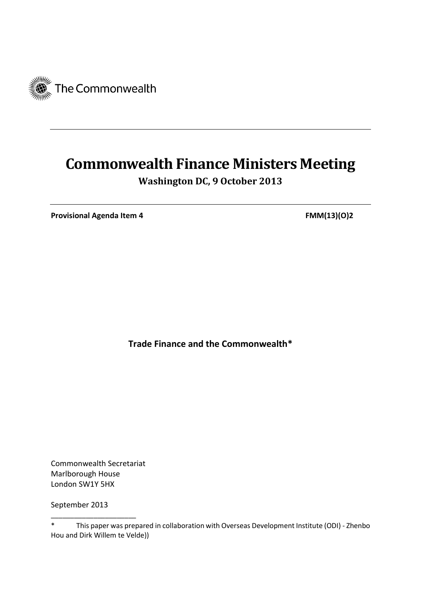

# **Commonwealth Finance Ministers Meeting**

**Washington DC, 9 October 2013**

**Provisional Agenda Item 4 FMM(13)(O)2** 

**Trade Finance and the Commonwealth\***

Commonwealth Secretariat Marlborough House London SW1Y 5HX

\_\_\_\_\_\_\_\_\_\_\_\_\_\_\_\_\_\_\_\_\_\_

September 2013

<sup>\*</sup> This paper was prepared in collaboration with Overseas Development Institute (ODI) - Zhenbo Hou and Dirk Willem te Velde))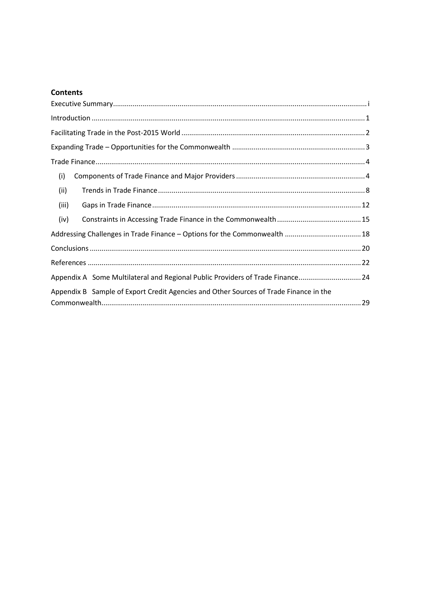#### **Contents**

| (i)                                                                                   |  |
|---------------------------------------------------------------------------------------|--|
| (ii)                                                                                  |  |
| (iii)                                                                                 |  |
| (iv)                                                                                  |  |
| Addressing Challenges in Trade Finance - Options for the Commonwealth  18             |  |
|                                                                                       |  |
|                                                                                       |  |
| Appendix A Some Multilateral and Regional Public Providers of Trade Finance24         |  |
| Appendix B Sample of Export Credit Agencies and Other Sources of Trade Finance in the |  |
|                                                                                       |  |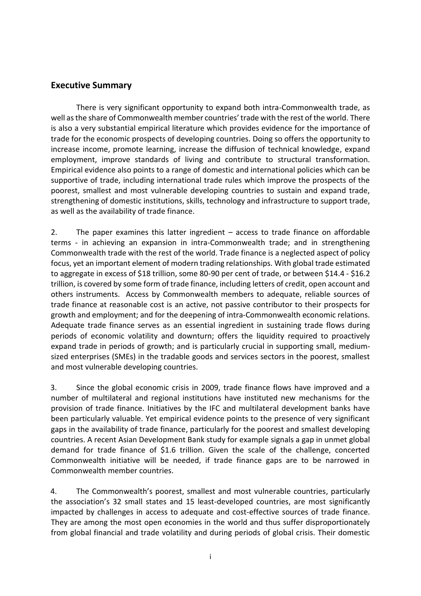## <span id="page-3-0"></span>**Executive Summary**

There is very significant opportunity to expand both intra-Commonwealth trade, as well as the share of Commonwealth member countries' trade with the rest of the world. There is also a very substantial empirical literature which provides evidence for the importance of trade for the economic prospects of developing countries. Doing so offers the opportunity to increase income, promote learning, increase the diffusion of technical knowledge, expand employment, improve standards of living and contribute to structural transformation. Empirical evidence also points to a range of domestic and international policies which can be supportive of trade, including international trade rules which improve the prospects of the poorest, smallest and most vulnerable developing countries to sustain and expand trade, strengthening of domestic institutions, skills, technology and infrastructure to support trade, as well as the availability of trade finance.

2. The paper examines this latter ingredient – access to trade finance on affordable terms - in achieving an expansion in intra-Commonwealth trade; and in strengthening Commonwealth trade with the rest of the world. Trade finance is a neglected aspect of policy focus, yet an important element of modern trading relationships. With global trade estimated to aggregate in excess of \$18 trillion, some 80-90 per cent of trade, or between \$14.4 - \$16.2 trillion, is covered by some form of trade finance, including letters of credit, open account and others instruments. Access by Commonwealth members to adequate, reliable sources of trade finance at reasonable cost is an active, not passive contributor to their prospects for growth and employment; and for the deepening of intra-Commonwealth economic relations. Adequate trade finance serves as an essential ingredient in sustaining trade flows during periods of economic volatility and downturn; offers the liquidity required to proactively expand trade in periods of growth; and is particularly crucial in supporting small, mediumsized enterprises (SMEs) in the tradable goods and services sectors in the poorest, smallest and most vulnerable developing countries.

3. Since the global economic crisis in 2009, trade finance flows have improved and a number of multilateral and regional institutions have instituted new mechanisms for the provision of trade finance. Initiatives by the IFC and multilateral development banks have been particularly valuable. Yet empirical evidence points to the presence of very significant gaps in the availability of trade finance, particularly for the poorest and smallest developing countries. A recent Asian Development Bank study for example signals a gap in unmet global demand for trade finance of \$1.6 trillion. Given the scale of the challenge, concerted Commonwealth initiative will be needed, if trade finance gaps are to be narrowed in Commonwealth member countries.

4. The Commonwealth's poorest, smallest and most vulnerable countries, particularly the association's 32 small states and 15 least-developed countries, are most significantly impacted by challenges in access to adequate and cost-effective sources of trade finance. They are among the most open economies in the world and thus suffer disproportionately from global financial and trade volatility and during periods of global crisis. Their domestic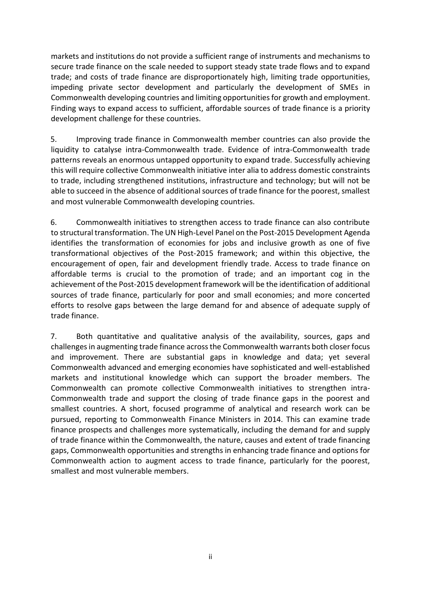markets and institutions do not provide a sufficient range of instruments and mechanisms to secure trade finance on the scale needed to support steady state trade flows and to expand trade; and costs of trade finance are disproportionately high, limiting trade opportunities, impeding private sector development and particularly the development of SMEs in Commonwealth developing countries and limiting opportunities for growth and employment. Finding ways to expand access to sufficient, affordable sources of trade finance is a priority development challenge for these countries.

5. Improving trade finance in Commonwealth member countries can also provide the liquidity to catalyse intra-Commonwealth trade. Evidence of intra-Commonwealth trade patterns reveals an enormous untapped opportunity to expand trade. Successfully achieving this will require collective Commonwealth initiative inter alia to address domestic constraints to trade, including strengthened institutions, infrastructure and technology; but will not be able to succeed in the absence of additional sources of trade finance for the poorest, smallest and most vulnerable Commonwealth developing countries.

6. Commonwealth initiatives to strengthen access to trade finance can also contribute to structural transformation. The UN High-Level Panel on the Post-2015 Development Agenda identifies the transformation of economies for jobs and inclusive growth as one of five transformational objectives of the Post-2015 framework; and within this objective, the encouragement of open, fair and development friendly trade. Access to trade finance on affordable terms is crucial to the promotion of trade; and an important cog in the achievement of the Post-2015 development framework will be the identification of additional sources of trade finance, particularly for poor and small economies; and more concerted efforts to resolve gaps between the large demand for and absence of adequate supply of trade finance.

7. Both quantitative and qualitative analysis of the availability, sources, gaps and challenges in augmenting trade finance across the Commonwealth warrants both closer focus and improvement. There are substantial gaps in knowledge and data; yet several Commonwealth advanced and emerging economies have sophisticated and well-established markets and institutional knowledge which can support the broader members. The Commonwealth can promote collective Commonwealth initiatives to strengthen intra-Commonwealth trade and support the closing of trade finance gaps in the poorest and smallest countries. A short, focused programme of analytical and research work can be pursued, reporting to Commonwealth Finance Ministers in 2014. This can examine trade finance prospects and challenges more systematically, including the demand for and supply of trade finance within the Commonwealth, the nature, causes and extent of trade financing gaps, Commonwealth opportunities and strengths in enhancing trade finance and options for Commonwealth action to augment access to trade finance, particularly for the poorest, smallest and most vulnerable members.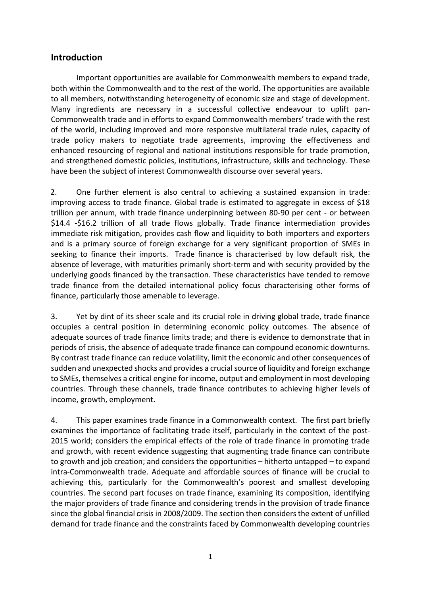## <span id="page-5-0"></span>**Introduction**

Important opportunities are available for Commonwealth members to expand trade, both within the Commonwealth and to the rest of the world. The opportunities are available to all members, notwithstanding heterogeneity of economic size and stage of development. Many ingredients are necessary in a successful collective endeavour to uplift pan-Commonwealth trade and in efforts to expand Commonwealth members' trade with the rest of the world, including improved and more responsive multilateral trade rules, capacity of trade policy makers to negotiate trade agreements, improving the effectiveness and enhanced resourcing of regional and national institutions responsible for trade promotion, and strengthened domestic policies, institutions, infrastructure, skills and technology. These have been the subject of interest Commonwealth discourse over several years.

2. One further element is also central to achieving a sustained expansion in trade: improving access to trade finance. Global trade is estimated to aggregate in excess of \$18 trillion per annum, with trade finance underpinning between 80-90 per cent - or between \$14.4 -\$16.2 trillion of all trade flows globally. Trade finance intermediation provides immediate risk mitigation, provides cash flow and liquidity to both importers and exporters and is a primary source of foreign exchange for a very significant proportion of SMEs in seeking to finance their imports. Trade finance is characterised by low default risk, the absence of leverage, with maturities primarily short-term and with security provided by the underlying goods financed by the transaction. These characteristics have tended to remove trade finance from the detailed international policy focus characterising other forms of finance, particularly those amenable to leverage.

3. Yet by dint of its sheer scale and its crucial role in driving global trade, trade finance occupies a central position in determining economic policy outcomes. The absence of adequate sources of trade finance limits trade; and there is evidence to demonstrate that in periods of crisis, the absence of adequate trade finance can compound economic downturns. By contrast trade finance can reduce volatility, limit the economic and other consequences of sudden and unexpected shocks and provides a crucial source of liquidity and foreign exchange to SMEs, themselves a critical engine for income, output and employment in most developing countries. Through these channels, trade finance contributes to achieving higher levels of income, growth, employment.

4. This paper examines trade finance in a Commonwealth context. The first part briefly examines the importance of facilitating trade itself, particularly in the context of the post-2015 world; considers the empirical effects of the role of trade finance in promoting trade and growth, with recent evidence suggesting that augmenting trade finance can contribute to growth and job creation; and considers the opportunities – hitherto untapped – to expand intra-Commonwealth trade. Adequate and affordable sources of finance will be crucial to achieving this, particularly for the Commonwealth's poorest and smallest developing countries. The second part focuses on trade finance, examining its composition, identifying the major providers of trade finance and considering trends in the provision of trade finance since the global financial crisis in 2008/2009. The section then considers the extent of unfilled demand for trade finance and the constraints faced by Commonwealth developing countries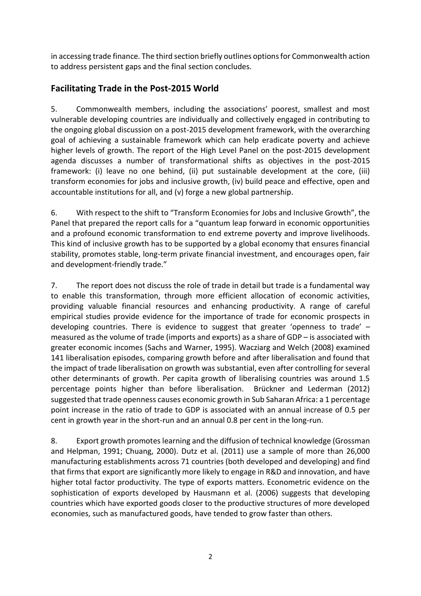in accessing trade finance. The third section briefly outlines options for Commonwealth action to address persistent gaps and the final section concludes.

# <span id="page-6-0"></span>**Facilitating Trade in the Post-2015 World**

5. Commonwealth members, including the associations' poorest, smallest and most vulnerable developing countries are individually and collectively engaged in contributing to the ongoing global discussion on a post-2015 development framework, with the overarching goal of achieving a sustainable framework which can help eradicate poverty and achieve higher levels of growth. The report of the High Level Panel on the post-2015 development agenda discusses a number of transformational shifts as objectives in the post-2015 framework: (i) leave no one behind, (ii) put sustainable development at the core, (iii) transform economies for jobs and inclusive growth, (iv) build peace and effective, open and accountable institutions for all, and (v) forge a new global partnership.

6. With respect to the shift to "Transform Economies for Jobs and Inclusive Growth", the Panel that prepared the report calls for a "quantum leap forward in economic opportunities and a profound economic transformation to end extreme poverty and improve livelihoods. This kind of inclusive growth has to be supported by a global economy that ensures financial stability, promotes stable, long-term private financial investment, and encourages open, fair and development-friendly trade."

7. The report does not discuss the role of trade in detail but trade is a fundamental way to enable this transformation, through more efficient allocation of economic activities, providing valuable financial resources and enhancing productivity. A range of careful empirical studies provide evidence for the importance of trade for economic prospects in developing countries. There is evidence to suggest that greater 'openness to trade' – measured as the volume of trade (imports and exports) as a share of GDP – is associated with greater economic incomes (Sachs and Warner, 1995). Wacziarg and Welch (2008) examined 141 liberalisation episodes, comparing growth before and after liberalisation and found that the impact of trade liberalisation on growth was substantial, even after controlling for several other determinants of growth. Per capita growth of liberalising countries was around 1.5 percentage points higher than before liberalisation. Brückner and Lederman (2012) suggested that trade openness causes economic growth in Sub Saharan Africa: a 1 percentage point increase in the ratio of trade to GDP is associated with an annual increase of 0.5 per cent in growth year in the short-run and an annual 0.8 per cent in the long-run.

8. Export growth promotes learning and the diffusion of technical knowledge (Grossman and Helpman, 1991; Chuang, 2000). Dutz et al. (2011) use a sample of more than 26,000 manufacturing establishments across 71 countries (both developed and developing) and find that firms that export are significantly more likely to engage in R&D and innovation, and have higher total factor productivity. The type of exports matters. Econometric evidence on the sophistication of exports developed by Hausmann et al. (2006) suggests that developing countries which have exported goods closer to the productive structures of more developed economies, such as manufactured goods, have tended to grow faster than others.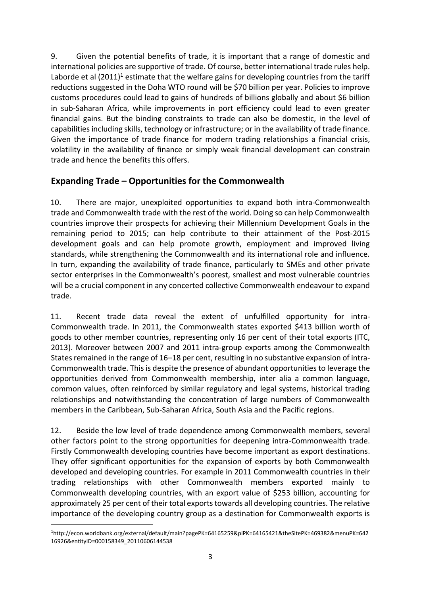9. Given the potential benefits of trade, it is important that a range of domestic and international policies are supportive of trade. Of course, better international trade rules help. Laborde et al  $(2011)^{1}$  [estimate](http://econ.worldbank.org/external/default/main?pagePK=64165259&piPK=64165421&theSitePK=469382&menuPK=64216926&entityID=000158349_20110606144538) that the welfare gains for developing countries from the tariff reductions suggested in the Doha WTO round will be \$70 billion per year. Policies to improve customs procedures could lead to gains of hundreds of billions globally and about \$6 [billion](http://www.imf.org/external/np/pp/eng/2011/111611.pdf) in [sub-Saharan](http://www.imf.org/external/np/pp/eng/2011/111611.pdf) Africa, while improvements in port efficiency could lead to even greater financial gains. But the binding constraints to trade can also be domestic, in the level of capabilities including skills, technology or infrastructure; or in the availability of trade finance. Given the importance of trade finance for modern trading relationships a financial crisis, volatility in the availability of finance or simply weak financial development can constrain trade and hence the benefits this offers.

# <span id="page-7-0"></span>**Expanding Trade – Opportunities for the Commonwealth**

10. There are major, unexploited opportunities to expand both intra-Commonwealth trade and Commonwealth trade with the rest of the world. Doing so can help Commonwealth countries improve their prospects for achieving their Millennium Development Goals in the remaining period to 2015; can help contribute to their attainment of the Post-2015 development goals and can help promote growth, employment and improved living standards, while strengthening the Commonwealth and its international role and influence. In turn, expanding the availability of trade finance, particularly to SMEs and other private sector enterprises in the Commonwealth's poorest, smallest and most vulnerable countries will be a crucial component in any concerted collective Commonwealth endeavour to expand trade.

11. Recent trade data reveal the extent of unfulfilled opportunity for intra-Commonwealth trade. In 2011, the Commonwealth states exported \$413 billion worth of goods to other member countries, representing only 16 per cent of their total exports (ITC, 2013). Moreover between 2007 and 2011 intra-group exports among the Commonwealth States remained in the range of 16–18 per cent, resulting in no substantive expansion of intra-Commonwealth trade. This is despite the presence of abundant opportunities to leverage the opportunities derived from Commonwealth membership, inter alia a common language, common values, often reinforced by similar regulatory and legal systems, historical trading relationships and notwithstanding the concentration of large numbers of Commonwealth members in the Caribbean, Sub-Saharan Africa, South Asia and the Pacific regions.

12. Beside the low level of trade dependence among Commonwealth members, several other factors point to the strong opportunities for deepening intra-Commonwealth trade. Firstly Commonwealth developing countries have become important as export destinations. They offer significant opportunities for the expansion of exports by both Commonwealth developed and developing countries. For example in 2011 Commonwealth countries in their trading relationships with other Commonwealth members exported mainly to Commonwealth developing countries, with an export value of \$253 billion, accounting for approximately 25 per cent of their total exports towards all developing countries. The relative importance of the developing country group as a destination for Commonwealth exports is

**.** 

<sup>1</sup>http://econ.worldbank.org/external/default/main?pagePK=64165259&piPK=64165421&theSitePK=469382&menuPK=642 16926&entityID=000158349\_20110606144538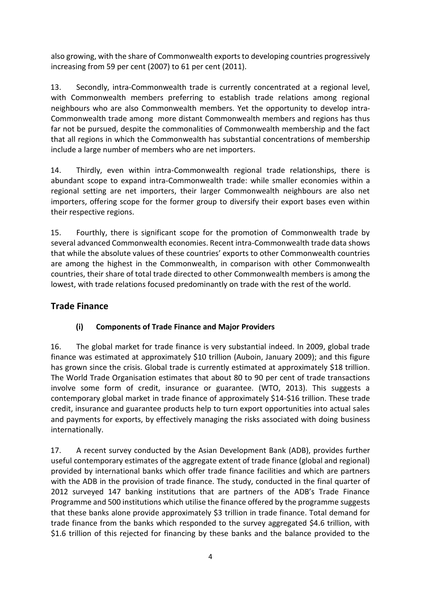also growing, with the share of Commonwealth exports to developing countries progressively increasing from 59 per cent (2007) to 61 per cent (2011).

13. Secondly, intra-Commonwealth trade is currently concentrated at a regional level, with Commonwealth members preferring to establish trade relations among regional neighbours who are also Commonwealth members. Yet the opportunity to develop intra-Commonwealth trade among more distant Commonwealth members and regions has thus far not be pursued, despite the commonalities of Commonwealth membership and the fact that all regions in which the Commonwealth has substantial concentrations of membership include a large number of members who are net importers.

14. Thirdly, even within intra-Commonwealth regional trade relationships, there is abundant scope to expand intra-Commonwealth trade: while smaller economies within a regional setting are net importers, their larger Commonwealth neighbours are also net importers, offering scope for the former group to diversify their export bases even within their respective regions.

15. Fourthly, there is significant scope for the promotion of Commonwealth trade by several advanced Commonwealth economies. Recent intra-Commonwealth trade data shows that while the absolute values of these countries' exports to other Commonwealth countries are among the highest in the Commonwealth, in comparison with other Commonwealth countries, their share of total trade directed to other Commonwealth members is among the lowest, with trade relations focused predominantly on trade with the rest of the world.

# <span id="page-8-0"></span>**Trade Finance**

# **(i) Components of Trade Finance and Major Providers**

<span id="page-8-1"></span>16. The global market for trade finance is very substantial indeed. In 2009, global trade finance was estimated at approximately \$10 trillion (Auboin, January 2009); and this figure has grown since the crisis. Global trade is currently estimated at approximately \$18 trillion. The World Trade Organisation estimates that about 80 to 90 per cent of trade transactions involve some form of credit, insurance or guarantee. (WTO, 2013). This suggests a contemporary global market in trade finance of approximately \$14-\$16 trillion. These trade credit, insurance and guarantee products help to turn export opportunities into actual sales and payments for exports, by effectively managing the risks associated with doing business internationally.

17. A recent survey conducted by the Asian Development Bank (ADB), provides further useful contemporary estimates of the aggregate extent of trade finance (global and regional) provided by international banks which offer trade finance facilities and which are partners with the ADB in the provision of trade finance. The study, conducted in the final quarter of 2012 surveyed 147 banking institutions that are partners of the ADB's Trade Finance Programme and 500 institutions which utilise the finance offered by the programme suggests that these banks alone provide approximately \$3 trillion in trade finance. Total demand for trade finance from the banks which responded to the survey aggregated \$4.6 trillion, with \$1.6 trillion of this rejected for financing by these banks and the balance provided to the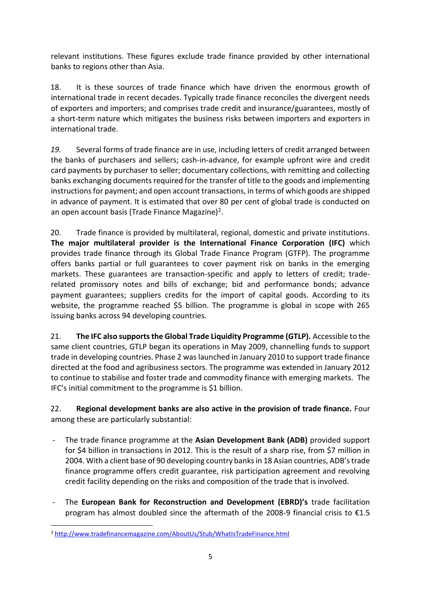relevant institutions. These figures exclude trade finance provided by other international banks to regions other than Asia.

18. It is these sources of trade finance which have driven the enormous growth of international trade in recent decades. Typically trade finance reconciles the divergent needs of exporters and importers; and comprises trade credit and insurance/guarantees, mostly of a short-term nature which mitigates the business risks between importers and exporters in international trade.

*19.* Several forms of trade finance are in use, including letters of credit arranged between the banks of purchasers and sellers; cash-in-advance, for example upfront wire and credit card payments by purchaser to seller; documentary collections, with remitting and collecting banks exchanging documents required for the transfer of title to the goods and implementing instructions for payment; and open account transactions, in terms of which goods are shipped in advance of payment. It is estimated that over 80 per cent of global trade is conducted on an open account basis (Trade Finance Magazine)<sup>2</sup>.

20. Trade finance is provided by multilateral, regional, domestic and private institutions. **The major multilateral provider is the International Finance Corporation (IFC)** which provides trade finance through its Global Trade Finance Program (GTFP). The programme offers banks partial or full guarantees to cover payment risk on banks in the emerging markets. These guarantees are transaction-specific and apply to letters of credit; traderelated promissory notes and bills of exchange; bid and performance bonds; advance payment guarantees; suppliers credits for the import of capital goods. According to its website, the programme reached \$5 billion. The programme is global in scope with 265 issuing banks across 94 developing countries.

21. **The IFC also supports the Global Trade Liquidity Programme (GTLP).** Accessible to the same client countries, GTLP began its operations in May 2009, channelling funds to support trade in developing countries. Phase 2 was launched in January 2010 to support trade finance directed at the food and agribusiness sectors. The programme was extended in January 2012 to continue to stabilise and foster trade and commodity finance with emerging markets. The IFC's initial commitment to the programme is \$1 billion.

## 22. **Regional development banks are also active in the provision of trade finance.** Four among these are particularly substantial:

- The trade finance programme at the **Asian Development Bank (ADB)** provided support for \$4 billion in transactions in 2012. This is the result of a sharp rise, from \$7 million in 2004. With a client base of 90 developing country banks in 18 Asian countries, ADB's trade finance programme offers credit guarantee, risk participation agreement and revolving credit facility depending on the risks and composition of the trade that is involved.
- The **European Bank for Reconstruction and Development (EBRD)'s** trade facilitation program has almost doubled since the aftermath of the 2008-9 financial crisis to  $\epsilon$ 1.5

<sup>1</sup> <sup>2</sup> <http://www.tradefinancemagazine.com/AboutUs/Stub/WhatIsTradeFinance.html>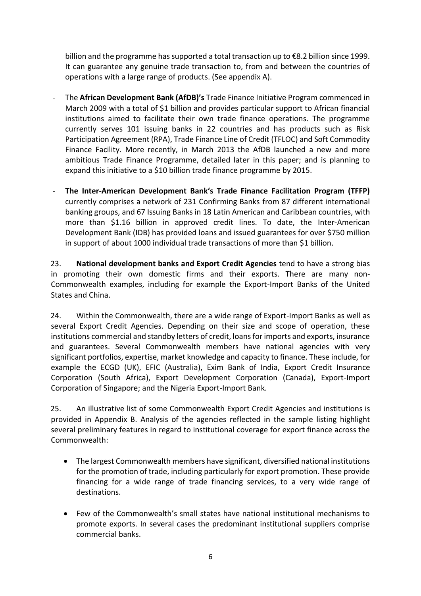billion and the programme has supported a total transaction up to €8.2 billion since 1999. It can guarantee any genuine trade transaction to, from and between the countries of operations with a large range of products. (See appendix A).

- The **African Development Bank (AfDB)'s** Trade Finance Initiative Program commenced in March 2009 with a total of \$1 billion and provides particular support to African financial institutions aimed to facilitate their own trade finance operations. The programme currently serves 101 issuing banks in 22 countries and has products such as Risk Participation Agreement (RPA), Trade Finance Line of Credit (TFLOC) and Soft Commodity Finance Facility. More recently, in March 2013 the AfDB launched a new and more ambitious Trade Finance Programme, detailed later in this paper; and is planning to expand this initiative to a \$10 billion trade finance programme by 2015.
- **The Inter-American Development Bank's Trade Finance Facilitation Program (TFFP)** currently comprises a network of 231 Confirming Banks from 87 different international banking groups, and 67 Issuing Banks in 18 Latin American and Caribbean countries, with more than \$1.16 billion in approved credit lines. To date, the Inter-American Development Bank (IDB) has provided loans and issued guarantees for over \$750 million in support of about 1000 individual trade transactions of more than \$1 billion.

23. **National development banks and Export Credit Agencies** tend to have a strong bias in promoting their own domestic firms and their exports. There are many non-Commonwealth examples, including for example the Export-Import Banks of the United States and China.

24. Within the Commonwealth, there are a wide range of Export-Import Banks as well as several Export Credit Agencies. Depending on their size and scope of operation, these institutions commercial and standby letters of credit, loans for imports and exports, insurance and guarantees. Several Commonwealth members have national agencies with very significant portfolios, expertise, market knowledge and capacity to finance. These include, for example the ECGD (UK), EFIC (Australia), Exim Bank of India, Export Credit Insurance Corporation (South Africa), Export Development Corporation (Canada), Export-Import Corporation of Singapore; and the Nigeria Export-Import Bank.

25. An illustrative list of some Commonwealth Export Credit Agencies and institutions is provided in Appendix B. Analysis of the agencies reflected in the sample listing highlight several preliminary features in regard to institutional coverage for export finance across the Commonwealth:

- The largest Commonwealth members have significant, diversified national institutions for the promotion of trade, including particularly for export promotion. These provide financing for a wide range of trade financing services, to a very wide range of destinations.
- Few of the Commonwealth's small states have national institutional mechanisms to promote exports. In several cases the predominant institutional suppliers comprise commercial banks.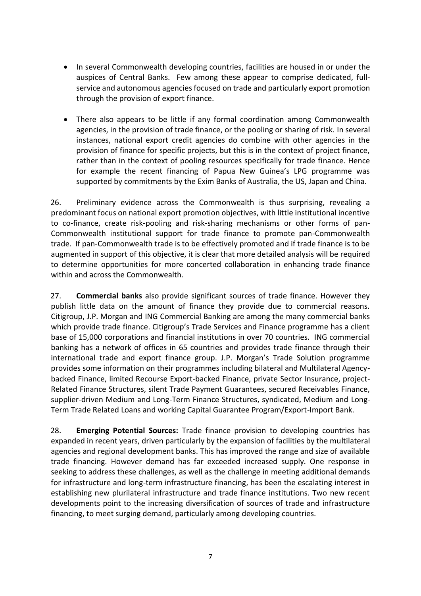- In several Commonwealth developing countries, facilities are housed in or under the auspices of Central Banks. Few among these appear to comprise dedicated, fullservice and autonomous agencies focused on trade and particularly export promotion through the provision of export finance.
- There also appears to be little if any formal coordination among Commonwealth agencies, in the provision of trade finance, or the pooling or sharing of risk. In several instances, national export credit agencies do combine with other agencies in the provision of finance for specific projects, but this is in the context of project finance, rather than in the context of pooling resources specifically for trade finance. Hence for example the recent financing of Papua New Guinea's LPG programme was supported by commitments by the Exim Banks of Australia, the US, Japan and China.

26. Preliminary evidence across the Commonwealth is thus surprising, revealing a predominant focus on national export promotion objectives, with little institutional incentive to co-finance, create risk-pooling and risk-sharing mechanisms or other forms of pan-Commonwealth institutional support for trade finance to promote pan-Commonwealth trade. If pan-Commonwealth trade is to be effectively promoted and if trade finance is to be augmented in support of this objective, it is clear that more detailed analysis will be required to determine opportunities for more concerted collaboration in enhancing trade finance within and across the Commonwealth.

27. **Commercial banks** also provide significant sources of trade finance. However they publish little data on the amount of finance they provide due to commercial reasons. Citigroup, J.P. Morgan and ING Commercial Banking are among the many commercial banks which provide trade finance. Citigroup's Trade Services and Finance programme has a client base of 15,000 corporations and financial institutions in over 70 countries. ING commercial banking has a network of offices in 65 countries and provides trade finance through their international trade and export finance group. J.P. Morgan's Trade Solution programme provides some information on their programmes including bilateral and Multilateral Agencybacked Finance, limited Recourse Export-backed Finance, private Sector Insurance, project-Related Finance Structures, silent Trade Payment Guarantees, secured Receivables Finance, supplier-driven Medium and Long-Term Finance Structures, syndicated, Medium and Long-Term Trade Related Loans and working Capital Guarantee Program/Export-Import Bank.

28. **Emerging Potential Sources:** Trade finance provision to developing countries has expanded in recent years, driven particularly by the expansion of facilities by the multilateral agencies and regional development banks. This has improved the range and size of available trade financing. However demand has far exceeded increased supply. One response in seeking to address these challenges, as well as the challenge in meeting additional demands for infrastructure and long-term infrastructure financing, has been the escalating interest in establishing new plurilateral infrastructure and trade finance institutions. Two new recent developments point to the increasing diversification of sources of trade and infrastructure financing, to meet surging demand, particularly among developing countries.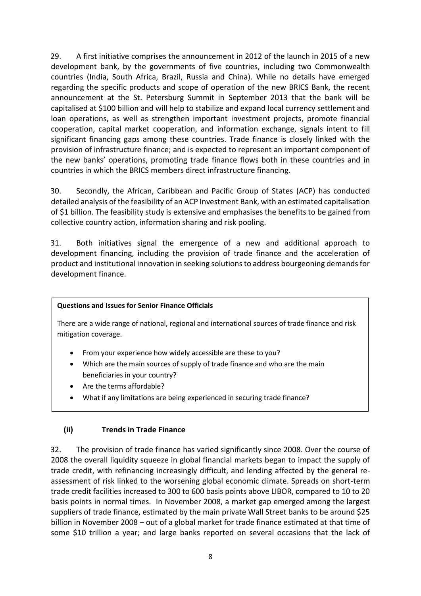29. A first initiative comprises the announcement in 2012 of the launch in 2015 of a new development bank, by the governments of five countries, including two Commonwealth countries (India, South Africa, Brazil, Russia and China). While no details have emerged regarding the specific products and scope of operation of the new BRICS Bank, the recent announcement at the St. Petersburg Summit in September 2013 that the bank will be capitalised at \$100 billion and will help to stabilize and expand local currency settlement and loan operations, as well as strengthen important investment projects, promote financial cooperation, capital market cooperation, and information exchange, signals intent to fill significant financing gaps among these countries. Trade finance is closely linked with the provision of infrastructure finance; and is expected to represent an important component of the new banks' operations, promoting trade finance flows both in these countries and in countries in which the BRICS members direct infrastructure financing.

30. Secondly, the African, Caribbean and Pacific Group of States (ACP) has conducted detailed analysis of the feasibility of an ACP Investment Bank, with an estimated capitalisation of \$1 billion. The feasibility study is extensive and emphasises the benefits to be gained from collective country action, information sharing and risk pooling.

31. Both initiatives signal the emergence of a new and additional approach to development financing, including the provision of trade finance and the acceleration of product and institutional innovation in seeking solutions to address bourgeoning demands for development finance.

#### **Questions and Issues for Senior Finance Officials**

There are a wide range of national, regional and international sources of trade finance and risk mitigation coverage.

- From your experience how widely accessible are these to you?
- Which are the main sources of supply of trade finance and who are the main beneficiaries in your country?
- Are the terms affordable?
- What if any limitations are being experienced in securing trade finance?

## <span id="page-12-0"></span>**(ii) Trends in Trade Finance**

32. The provision of trade finance has varied significantly since 2008. Over the course of 2008 the overall liquidity squeeze in global financial markets began to impact the supply of trade credit, with refinancing increasingly difficult, and lending affected by the general reassessment of risk linked to the worsening global economic climate. Spreads on short-term trade credit facilities increased to 300 to 600 basis points above LIBOR, compared to 10 to 20 basis points in normal times. In November 2008, a market gap emerged among the largest suppliers of trade finance, estimated by the main private Wall Street banks to be around \$25 billion in November 2008 – out of a global market for trade finance estimated at that time of some \$10 trillion a year; and large banks reported on several occasions that the lack of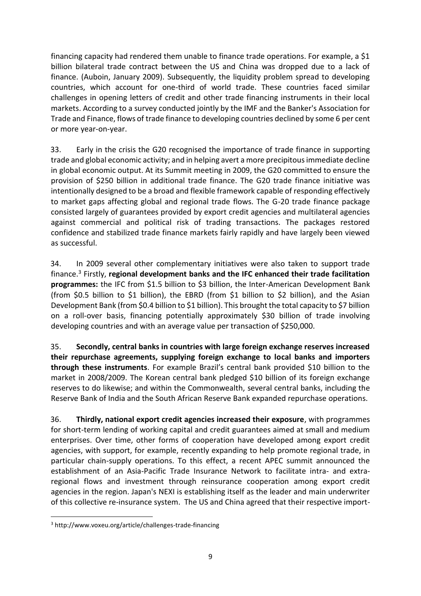financing capacity had rendered them unable to finance trade operations. For example, a \$1 billion bilateral trade contract between the US and China was dropped due to a lack of finance. (Auboin, January 2009). Subsequently, the liquidity problem spread to developing countries, which account for one-third of world trade. These countries faced similar challenges in opening letters of credit and other trade financing instruments in their local markets. According to a survey conducted jointly by the IMF and the Banker's Association for Trade and Finance, flows of trade finance to developing countries declined by some 6 per cent or more year-on-year.

33. Early in the crisis the G20 recognised the importance of trade finance in supporting trade and global economic activity; and in helping avert a more precipitous immediate decline in global economic output. At its Summit meeting in 2009, the G20 committed to ensure the provision of \$250 billion in additional trade finance. The G20 trade finance initiative was intentionally designed to be a broad and flexible framework capable of responding effectively to market gaps affecting global and regional trade flows. The G-20 trade finance package consisted largely of guarantees provided by export credit agencies and multilateral agencies against commercial and political risk of trading transactions. The packages restored confidence and stabilized trade finance markets fairly rapidly and have largely been viewed as successful.

34. In 2009 several other complementary initiatives were also taken to support trade finance.<sup>3</sup> Firstly, **regional development banks and the IFC enhanced their trade facilitation programmes:** the IFC from \$1.5 billion to \$3 billion, the Inter-American Development Bank (from \$0.5 billion to \$1 billion), the EBRD (from \$1 billion to \$2 billion), and the Asian Development Bank (from \$0.4 billion to \$1 billion). This brought the total capacity to \$7 billion on a roll-over basis, financing potentially approximately \$30 billion of trade involving developing countries and with an average value per transaction of \$250,000.

35. **Secondly, central banks in countries with large foreign exchange reserves increased their repurchase agreements, supplying foreign exchange to local banks and importers through these instruments**. For example Brazil's central bank provided \$10 billion to the market in 2008/2009. The Korean central bank pledged \$10 billion of its foreign exchange reserves to do likewise; and within the Commonwealth, several central banks, including the Reserve Bank of India and the South African Reserve Bank expanded repurchase operations.

36. **Thirdly, national export credit agencies increased their exposure**, with programmes for short-term lending of working capital and credit guarantees aimed at small and medium enterprises. Over time, other forms of cooperation have developed among export credit agencies, with support, for example, recently expanding to help promote regional trade, in particular chain-supply operations. To this effect, a recent APEC summit announced the establishment of an Asia-Pacific Trade Insurance Network to facilitate intra- and extraregional flows and investment through reinsurance cooperation among export credit agencies in the region. Japan's NEXI is establishing itself as the leader and main underwriter of this collective re-insurance system. The US and China agreed that their respective import-

 $\overline{a}$ 

<sup>3</sup> http://www.voxeu.org/article/challenges-trade-financing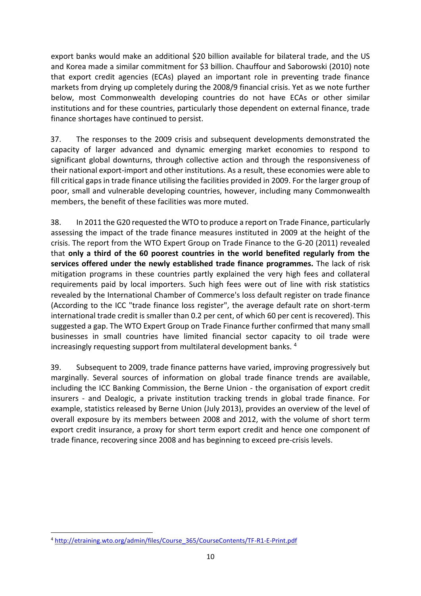export banks would make an additional \$20 billion available for bilateral trade, and the US and Korea made a similar commitment for \$3 billion. Chauffour and Saborowski (2010) note that export credit agencies (ECAs) played an important role in preventing trade finance markets from drying up completely during the 2008/9 financial crisis. Yet as we note further below, most Commonwealth developing countries do not have ECAs or other similar institutions and for these countries, particularly those dependent on external finance, trade finance shortages have continued to persist.

37. The responses to the 2009 crisis and subsequent developments demonstrated the capacity of larger advanced and dynamic emerging market economies to respond to significant global downturns, through collective action and through the responsiveness of their national export-import and other institutions. As a result, these economies were able to fill critical gaps in trade finance utilising the facilities provided in 2009. For the larger group of poor, small and vulnerable developing countries, however, including many Commonwealth members, the benefit of these facilities was more muted.

38. In 2011 the G20 requested the WTO to produce a report on Trade Finance, particularly assessing the impact of the trade finance measures instituted in 2009 at the height of the crisis. The report from the WTO Expert Group on Trade Finance to the G-20 (2011) revealed that **only a third of the 60 poorest countries in the world benefited regularly from the services offered under the newly established trade finance programmes.** The lack of risk mitigation programs in these countries partly explained the very high fees and collateral requirements paid by local importers. Such high fees were out of line with risk statistics revealed by the International Chamber of Commerce's loss default register on trade finance (According to the ICC "trade finance loss register", the average default rate on short-term international trade credit is smaller than 0.2 per cent, of which 60 per cent is recovered). This suggested a gap. The WTO Expert Group on Trade Finance further confirmed that many small businesses in small countries have limited financial sector capacity to oil trade were increasingly requesting support from multilateral development banks. <sup>4</sup>

39. Subsequent to 2009, trade finance patterns have varied, improving progressively but marginally. Several sources of information on global trade finance trends are available, including the ICC Banking Commission, the Berne Union - the organisation of export credit insurers - and Dealogic, a private institution tracking trends in global trade finance. For example, statistics released by Berne Union (July 2013), provides an overview of the level of overall exposure by its members between 2008 and 2012, with the volume of short term export credit insurance, a proxy for short term export credit and hence one component of trade finance, recovering since 2008 and has beginning to exceed pre-crisis levels.

**<sup>.</sup>** <sup>4</sup> [http://etraining.wto.org/admin/files/Course\\_365/CourseContents/TF-R1-E-Print.pdf](http://etraining.wto.org/admin/files/Course_365/CourseContents/TF-R1-E-Print.pdf)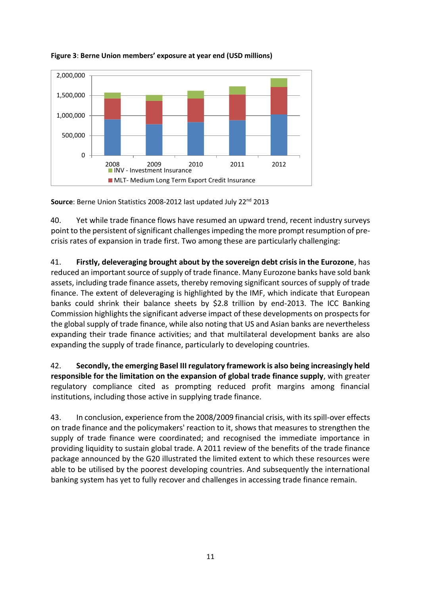

**Figure 3**: **Berne Union members' exposure at year end (USD millions)**

**Source**: Berne Union Statistics 2008-2012 last updated July 22nd 2013

40. Yet while trade finance flows have resumed an upward trend, recent industry surveys point to the persistent of significant challenges impeding the more prompt resumption of precrisis rates of expansion in trade first. Two among these are particularly challenging:

41. **Firstly, deleveraging brought about by the sovereign debt crisis in the Eurozone**, has reduced an important source of supply of trade finance. Many Eurozone banks have sold bank assets, including trade finance assets, thereby removing significant sources of supply of trade finance. The extent of deleveraging is highlighted by the IMF, which indicate that European banks could shrink their balance sheets by \$2.8 trillion by end-2013. The ICC Banking Commission highlights the significant adverse impact of these developments on prospects for the global supply of trade finance, while also noting that US and Asian banks are nevertheless expanding their trade finance activities; and that multilateral development banks are also expanding the supply of trade finance, particularly to developing countries.

42. **Secondly, the emerging Basel III regulatory framework is also being increasingly held responsible for the limitation on the expansion of global trade finance supply**, with greater regulatory compliance cited as prompting reduced profit margins among financial institutions, including those active in supplying trade finance.

43. In conclusion, experience from the 2008/2009 financial crisis, with its spill-over effects on trade finance and the policymakers' reaction to it, shows that measures to strengthen the supply of trade finance were coordinated; and recognised the immediate importance in providing liquidity to sustain global trade. A 2011 review of the benefits of the trade finance package announced by the G20 illustrated the limited extent to which these resources were able to be utilised by the poorest developing countries. And subsequently the international banking system has yet to fully recover and challenges in accessing trade finance remain.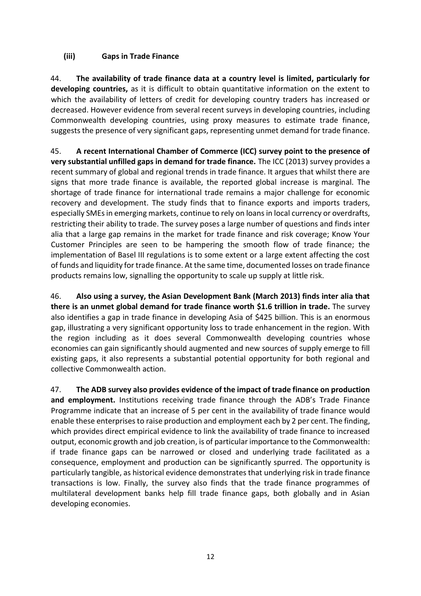### <span id="page-16-0"></span>**(iii) Gaps in Trade Finance**

44. **The availability of trade finance data at a country level is limited, particularly for developing countries,** as it is difficult to obtain quantitative information on the extent to which the availability of letters of credit for developing country traders has increased or decreased. However evidence from several recent surveys in developing countries, including Commonwealth developing countries, using proxy measures to estimate trade finance, suggests the presence of very significant gaps, representing unmet demand for trade finance.

45. **A recent International Chamber of Commerce (ICC) survey point to the presence of very substantial unfilled gaps in demand for trade finance.** The ICC (2013) survey provides a recent summary of global and regional trends in trade finance. It argues that whilst there are signs that more trade finance is available, the reported global increase is marginal. The shortage of trade finance for international trade remains a major challenge for economic recovery and development. The study finds that to finance exports and imports traders, especially SMEs in emerging markets, continue to rely on loans in local currency or overdrafts, restricting their ability to trade. The survey poses a large number of questions and finds inter alia that a large gap remains in the market for trade finance and risk coverage; Know Your Customer Principles are seen to be hampering the smooth flow of trade finance; the implementation of Basel III regulations is to some extent or a large extent affecting the cost of funds and liquidity for trade finance. At the same time, documented losses on trade finance products remains low, signalling the opportunity to scale up supply at little risk.

46. **Also using a survey, the Asian Development Bank (March 2013) finds inter alia that there is an unmet global demand for trade finance worth \$1.6 trillion in trade.** The survey also identifies a gap in trade finance in developing Asia of \$425 billion. This is an enormous gap, illustrating a very significant opportunity loss to trade enhancement in the region. With the region including as it does several Commonwealth developing countries whose economies can gain significantly should augmented and new sources of supply emerge to fill existing gaps, it also represents a substantial potential opportunity for both regional and collective Commonwealth action.

47. **The ADB survey also provides evidence of the impact of trade finance on production and employment.** Institutions receiving trade finance through the ADB's Trade Finance Programme indicate that an increase of 5 per cent in the availability of trade finance would enable these enterprises to raise production and employment each by 2 per cent. The finding, which provides direct empirical evidence to link the availability of trade finance to increased output, economic growth and job creation, is of particular importance to the Commonwealth: if trade finance gaps can be narrowed or closed and underlying trade facilitated as a consequence, employment and production can be significantly spurred. The opportunity is particularly tangible, as historical evidence demonstrates that underlying risk in trade finance transactions is low. Finally, the survey also finds that the trade finance programmes of multilateral development banks help fill trade finance gaps, both globally and in Asian developing economies.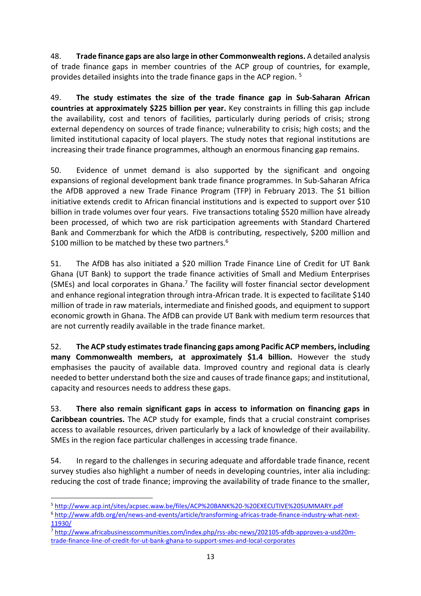48. **Trade finance gaps are also large in other Commonwealth regions.** A detailed analysis of trade finance gaps in member countries of the ACP group of countries, for example, provides detailed insights into the trade finance gaps in the ACP region. <sup>5</sup>

49. **The study estimates the size of the trade finance gap in Sub-Saharan African countries at approximately \$225 billion per year.** Key constraints in filling this gap include the availability, cost and tenors of facilities, particularly during periods of crisis; strong external dependency on sources of trade finance; vulnerability to crisis; high costs; and the limited institutional capacity of local players. The study notes that regional institutions are increasing their trade finance programmes, although an enormous financing gap remains.

50. Evidence of unmet demand is also supported by the significant and ongoing expansions of regional development bank trade finance programmes. In Sub-Saharan Africa the AfDB approved a new Trade Finance Program (TFP) in February 2013. The \$1 billion initiative extends credit to African financial institutions and is expected to support over \$10 billion in trade volumes over four years. Five transactions totaling \$520 million have already been processed, of which two are risk participation agreements with Standard Chartered Bank and Commerzbank for which the AfDB is contributing, respectively, \$200 million and \$100 million to be matched by these two partners.<sup>6</sup>

51. The AfDB has also initiated a \$20 million Trade Finance Line of Credit for UT Bank Ghana (UT Bank) to support the trade finance activities of Small and Medium Enterprises (SMEs) and local corporates in Ghana.<sup>7</sup> The facility will foster financial sector development and enhance regional integration through intra-African trade. It is expected to facilitate \$140 million of trade in raw materials, intermediate and finished goods, and equipment to support economic growth in Ghana. The AfDB can provide UT Bank with medium term resources that are not currently readily available in the trade finance market.

52. **The ACP study estimates trade financing gaps among Pacific ACP members, including many Commonwealth members, at approximately \$1.4 billion.** However the study emphasises the paucity of available data. Improved country and regional data is clearly needed to better understand both the size and causes of trade finance gaps; and institutional, capacity and resources needs to address these gaps.

53. **There also remain significant gaps in access to information on financing gaps in Caribbean countries.** The ACP study for example, finds that a crucial constraint comprises access to available resources, driven particularly by a lack of knowledge of their availability. SMEs in the region face particular challenges in accessing trade finance.

54. In regard to the challenges in securing adequate and affordable trade finance, recent survey studies also highlight a number of needs in developing countries, inter alia including: reducing the cost of trade finance; improving the availability of trade finance to the smaller,

 $\overline{a}$ 

<sup>5</sup> <http://www.acp.int/sites/acpsec.waw.be/files/ACP%20BANK%20-%20EXECUTIVE%20SUMMARY.pdf>

<sup>6</sup> [http://www.afdb.org/en/news-and-events/article/transforming-africas-trade-finance-industry-what-next-](http://www.afdb.org/en/news-and-events/article/transforming-africas-trade-finance-industry-what-next-11930/)[11930/](http://www.afdb.org/en/news-and-events/article/transforming-africas-trade-finance-industry-what-next-11930/)

<sup>7</sup> [http://www.africabusinesscommunities.com/index.php/rss-abc-news/202105-afdb-approves-a-usd20m](http://www.africabusinesscommunities.com/index.php/rss-abc-news/202105-afdb-approves-a-usd20m-trade-finance-line-of-credit-for-ut-bank-ghana-to-support-smes-and-local-corporates)[trade-finance-line-of-credit-for-ut-bank-ghana-to-support-smes-and-local-corporates](http://www.africabusinesscommunities.com/index.php/rss-abc-news/202105-afdb-approves-a-usd20m-trade-finance-line-of-credit-for-ut-bank-ghana-to-support-smes-and-local-corporates)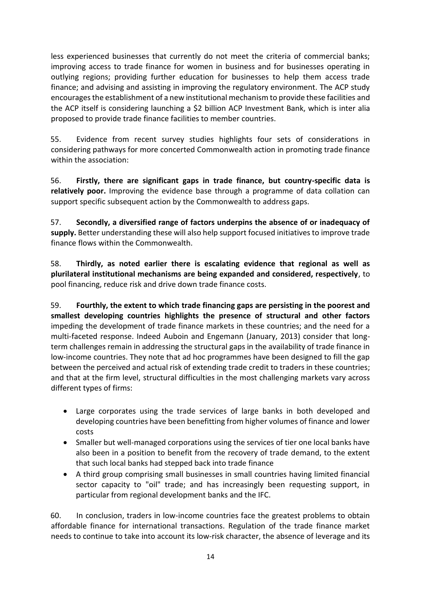less experienced businesses that currently do not meet the criteria of commercial banks; improving access to trade finance for women in business and for businesses operating in outlying regions; providing further education for businesses to help them access trade finance; and advising and assisting in improving the regulatory environment. The ACP study encourages the establishment of a new institutional mechanism to provide these facilities and the ACP itself is considering launching a \$2 billion ACP Investment Bank, which is inter alia proposed to provide trade finance facilities to member countries.

55. Evidence from recent survey studies highlights four sets of considerations in considering pathways for more concerted Commonwealth action in promoting trade finance within the association:

56. **Firstly, there are significant gaps in trade finance, but country-specific data is relatively poor.** Improving the evidence base through a programme of data collation can support specific subsequent action by the Commonwealth to address gaps.

57. **Secondly, a diversified range of factors underpins the absence of or inadequacy of supply.** Better understanding these will also help support focused initiatives to improve trade finance flows within the Commonwealth.

58. **Thirdly, as noted earlier there is escalating evidence that regional as well as plurilateral institutional mechanisms are being expanded and considered, respectively**, to pool financing, reduce risk and drive down trade finance costs.

59. **Fourthly, the extent to which trade financing gaps are persisting in the poorest and smallest developing countries highlights the presence of structural and other factors** impeding the development of trade finance markets in these countries; and the need for a multi-faceted response. Indeed Auboin and Engemann (January, 2013) consider that longterm challenges remain in addressing the structural gaps in the availability of trade finance in low-income countries. They note that ad hoc programmes have been designed to fill the gap between the perceived and actual risk of extending trade credit to traders in these countries; and that at the firm level, structural difficulties in the most challenging markets vary across different types of firms:

- Large corporates using the trade services of large banks in both developed and developing countries have been benefitting from higher volumes of finance and lower costs
- Smaller but well-managed corporations using the services of tier one local banks have also been in a position to benefit from the recovery of trade demand, to the extent that such local banks had stepped back into trade finance
- A third group comprising small businesses in small countries having limited financial sector capacity to "oil" trade; and has increasingly been requesting support, in particular from regional development banks and the IFC.

60. In conclusion, traders in low-income countries face the greatest problems to obtain affordable finance for international transactions. Regulation of the trade finance market needs to continue to take into account its low-risk character, the absence of leverage and its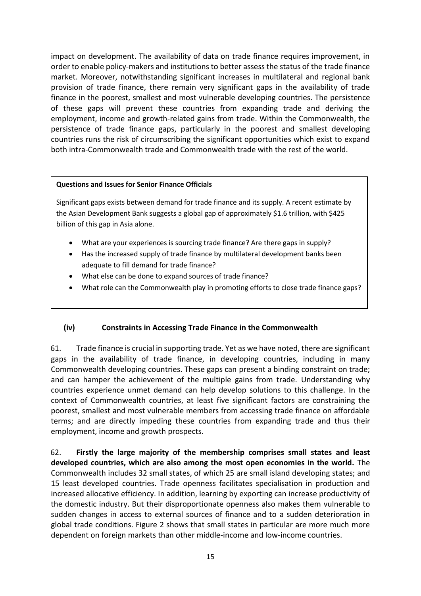impact on development. The availability of data on trade finance requires improvement, in order to enable policy-makers and institutions to better assess the status of the trade finance market. Moreover, notwithstanding significant increases in multilateral and regional bank provision of trade finance, there remain very significant gaps in the availability of trade finance in the poorest, smallest and most vulnerable developing countries. The persistence of these gaps will prevent these countries from expanding trade and deriving the employment, income and growth-related gains from trade. Within the Commonwealth, the persistence of trade finance gaps, particularly in the poorest and smallest developing countries runs the risk of circumscribing the significant opportunities which exist to expand both intra-Commonwealth trade and Commonwealth trade with the rest of the world.

#### **Questions and Issues for Senior Finance Officials**

Significant gaps exists between demand for trade finance and its supply. A recent estimate by the Asian Development Bank suggests a global gap of approximately \$1.6 trillion, with \$425 billion of this gap in Asia alone.

- What are your experiences is sourcing trade finance? Are there gaps in supply?
- Has the increased supply of trade finance by multilateral development banks been adequate to fill demand for trade finance?
- What else can be done to expand sources of trade finance?
- What role can the Commonwealth play in promoting efforts to close trade finance gaps?

## <span id="page-19-0"></span>**(iv) Constraints in Accessing Trade Finance in the Commonwealth**

61. Trade finance is crucial in supporting trade. Yet as we have noted, there are significant gaps in the availability of trade finance, in developing countries, including in many Commonwealth developing countries. These gaps can present a binding constraint on trade; and can hamper the achievement of the multiple gains from trade. Understanding why countries experience unmet demand can help develop solutions to this challenge. In the context of Commonwealth countries, at least five significant factors are constraining the poorest, smallest and most vulnerable members from accessing trade finance on affordable terms; and are directly impeding these countries from expanding trade and thus their employment, income and growth prospects.

62. **Firstly the large majority of the membership comprises small states and least developed countries, which are also among the most open economies in the world.** The Commonwealth includes 32 small states, of which 25 are small island developing states; and 15 least developed countries. Trade openness facilitates specialisation in production and increased allocative efficiency. In addition, learning by exporting can increase productivity of the domestic industry. But their disproportionate openness also makes them vulnerable to sudden changes in access to external sources of finance and to a sudden deterioration in global trade conditions. Figure 2 shows that small states in particular are more much more dependent on foreign markets than other middle-income and low-income countries.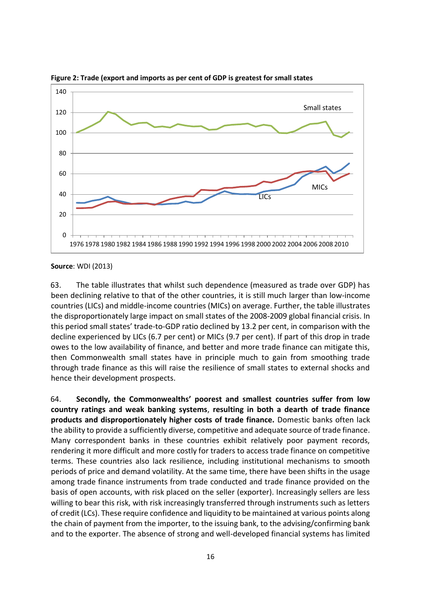

**Figure 2: Trade (export and imports as per cent of GDP is greatest for small states**

**Source**: WDI (2013)

63. The table illustrates that whilst such dependence (measured as trade over GDP) has been declining relative to that of the other countries, it is still much larger than low-income countries (LICs) and middle-income countries (MICs) on average. Further, the table illustrates the disproportionately large impact on small states of the 2008-2009 global financial crisis. In this period small states' trade-to-GDP ratio declined by 13.2 per cent, in comparison with the decline experienced by LICs (6.7 per cent) or MICs (9.7 per cent). If part of this drop in trade owes to the low availability of finance, and better and more trade finance can mitigate this, then Commonwealth small states have in principle much to gain from smoothing trade through trade finance as this will raise the resilience of small states to external shocks and hence their development prospects.

64. **Secondly, the Commonwealths' poorest and smallest countries suffer from low country ratings and weak banking systems**, **resulting in both a dearth of trade finance products and disproportionately higher costs of trade finance.** Domestic banks often lack the ability to provide a sufficiently diverse, competitive and adequate source of trade finance. Many correspondent banks in these countries exhibit relatively poor payment records, rendering it more difficult and more costly for traders to access trade finance on competitive terms. These countries also lack resilience, including institutional mechanisms to smooth periods of price and demand volatility. At the same time, there have been shifts in the usage among trade finance instruments from trade conducted and trade finance provided on the basis of open accounts, with risk placed on the seller (exporter). Increasingly sellers are less willing to bear this risk, with risk increasingly transferred through instruments such as letters of credit (LCs). These require confidence and liquidity to be maintained at various points along the chain of payment from the importer, to the issuing bank, to the advising/confirming bank and to the exporter. The absence of strong and well-developed financial systems has limited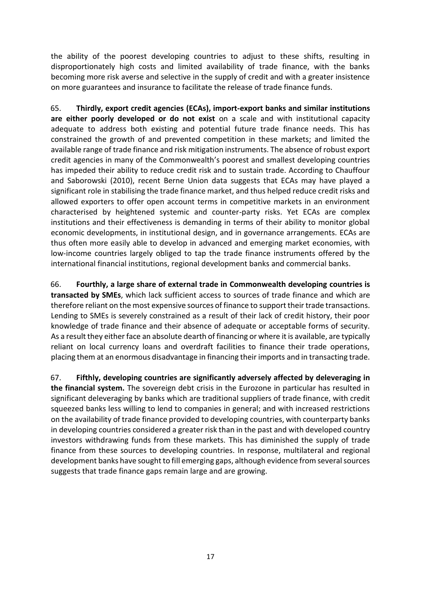the ability of the poorest developing countries to adjust to these shifts, resulting in disproportionately high costs and limited availability of trade finance, with the banks becoming more risk averse and selective in the supply of credit and with a greater insistence on more guarantees and insurance to facilitate the release of trade finance funds.

65. **Thirdly, export credit agencies (ECAs), import-export banks and similar institutions are either poorly developed or do not exist** on a scale and with institutional capacity adequate to address both existing and potential future trade finance needs. This has constrained the growth of and prevented competition in these markets; and limited the available range of trade finance and risk mitigation instruments. The absence of robust export credit agencies in many of the Commonwealth's poorest and smallest developing countries has impeded their ability to reduce credit risk and to sustain trade. According to Chauffour and Saborowski (2010), recent Berne Union data suggests that ECAs may have played a significant role in stabilising the trade finance market, and thus helped reduce credit risks and allowed exporters to offer open account terms in competitive markets in an environment characterised by heightened systemic and counter-party risks. Yet ECAs are complex institutions and their effectiveness is demanding in terms of their ability to monitor global economic developments, in institutional design, and in governance arrangements. ECAs are thus often more easily able to develop in advanced and emerging market economies, with low-income countries largely obliged to tap the trade finance instruments offered by the international financial institutions, regional development banks and commercial banks.

66. **Fourthly, a large share of external trade in Commonwealth developing countries is transacted by SMEs**, which lack sufficient access to sources of trade finance and which are therefore reliant on the most expensive sources of finance to support their trade transactions. Lending to SMEs is severely constrained as a result of their lack of credit history, their poor knowledge of trade finance and their absence of adequate or acceptable forms of security. As a result they either face an absolute dearth of financing or where it is available, are typically reliant on local currency loans and overdraft facilities to finance their trade operations, placing them at an enormous disadvantage in financing their imports and in transacting trade.

67. **Fifthly, developing countries are significantly adversely affected by deleveraging in the financial system.** The sovereign debt crisis in the Eurozone in particular has resulted in significant deleveraging by banks which are traditional suppliers of trade finance, with credit squeezed banks less willing to lend to companies in general; and with increased restrictions on the availability of trade finance provided to developing countries, with counterparty banks in developing countries considered a greater risk than in the past and with developed country investors withdrawing funds from these markets. This has diminished the supply of trade finance from these sources to developing countries. In response, multilateral and regional development banks have sought to fill emerging gaps, although evidence from several sources suggests that trade finance gaps remain large and are growing.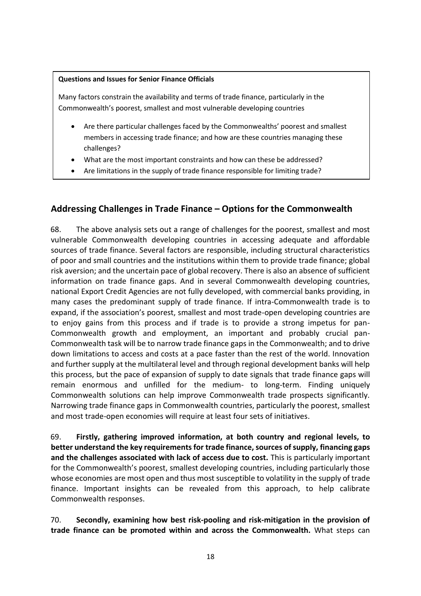#### **Questions and Issues for Senior Finance Officials**

Many factors constrain the availability and terms of trade finance, particularly in the Commonwealth's poorest, smallest and most vulnerable developing countries

- Are there particular challenges faced by the Commonwealths' poorest and smallest members in accessing trade finance; and how are these countries managing these challenges?
- What are the most important constraints and how can these be addressed?
- Are limitations in the supply of trade finance responsible for limiting trade?

## <span id="page-22-0"></span>**Addressing Challenges in Trade Finance – Options for the Commonwealth**

68. The above analysis sets out a range of challenges for the poorest, smallest and most vulnerable Commonwealth developing countries in accessing adequate and affordable sources of trade finance. Several factors are responsible, including structural characteristics of poor and small countries and the institutions within them to provide trade finance; global risk aversion; and the uncertain pace of global recovery. There is also an absence of sufficient information on trade finance gaps. And in several Commonwealth developing countries, national Export Credit Agencies are not fully developed, with commercial banks providing, in many cases the predominant supply of trade finance. If intra-Commonwealth trade is to expand, if the association's poorest, smallest and most trade-open developing countries are to enjoy gains from this process and if trade is to provide a strong impetus for pan-Commonwealth growth and employment, an important and probably crucial pan-Commonwealth task will be to narrow trade finance gaps in the Commonwealth; and to drive down limitations to access and costs at a pace faster than the rest of the world. Innovation and further supply at the multilateral level and through regional development banks will help this process, but the pace of expansion of supply to date signals that trade finance gaps will remain enormous and unfilled for the medium- to long-term. Finding uniquely Commonwealth solutions can help improve Commonwealth trade prospects significantly. Narrowing trade finance gaps in Commonwealth countries, particularly the poorest, smallest and most trade-open economies will require at least four sets of initiatives.

69. **Firstly, gathering improved information, at both country and regional levels, to better understand the key requirements for trade finance, sources of supply, financing gaps and the challenges associated with lack of access due to cost.** This is particularly important for the Commonwealth's poorest, smallest developing countries, including particularly those whose economies are most open and thus most susceptible to volatility in the supply of trade finance. Important insights can be revealed from this approach, to help calibrate Commonwealth responses.

70. **Secondly, examining how best risk-pooling and risk-mitigation in the provision of trade finance can be promoted within and across the Commonwealth.** What steps can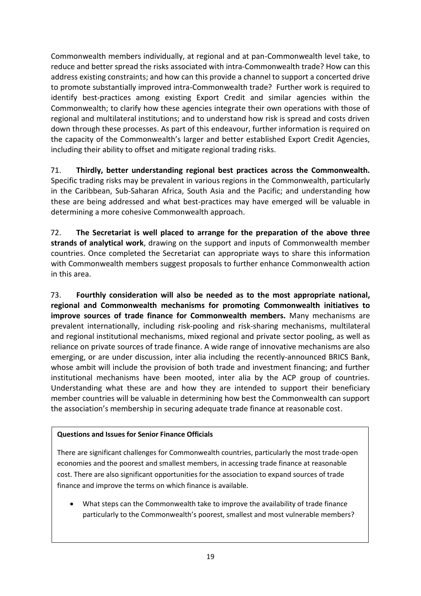Commonwealth members individually, at regional and at pan-Commonwealth level take, to reduce and better spread the risks associated with intra-Commonwealth trade? How can this address existing constraints; and how can this provide a channel to support a concerted drive to promote substantially improved intra-Commonwealth trade? Further work is required to identify best-practices among existing Export Credit and similar agencies within the Commonwealth; to clarify how these agencies integrate their own operations with those of regional and multilateral institutions; and to understand how risk is spread and costs driven down through these processes. As part of this endeavour, further information is required on the capacity of the Commonwealth's larger and better established Export Credit Agencies, including their ability to offset and mitigate regional trading risks.

71. **Thirdly, better understanding regional best practices across the Commonwealth.** Specific trading risks may be prevalent in various regions in the Commonwealth, particularly in the Caribbean, Sub-Saharan Africa, South Asia and the Pacific; and understanding how these are being addressed and what best-practices may have emerged will be valuable in determining a more cohesive Commonwealth approach.

72. **The Secretariat is well placed to arrange for the preparation of the above three strands of analytical work**, drawing on the support and inputs of Commonwealth member countries. Once completed the Secretariat can appropriate ways to share this information with Commonwealth members suggest proposals to further enhance Commonwealth action in this area.

73. **Fourthly consideration will also be needed as to the most appropriate national, regional and Commonwealth mechanisms for promoting Commonwealth initiatives to improve sources of trade finance for Commonwealth members.** Many mechanisms are prevalent internationally, including risk-pooling and risk-sharing mechanisms, multilateral and regional institutional mechanisms, mixed regional and private sector pooling, as well as reliance on private sources of trade finance. A wide range of innovative mechanisms are also emerging, or are under discussion, inter alia including the recently-announced BRICS Bank, whose ambit will include the provision of both trade and investment financing; and further institutional mechanisms have been mooted, inter alia by the ACP group of countries. Understanding what these are and how they are intended to support their beneficiary member countries will be valuable in determining how best the Commonwealth can support the association's membership in securing adequate trade finance at reasonable cost.

#### **Questions and Issues for Senior Finance Officials**

There are significant challenges for Commonwealth countries, particularly the most trade-open economies and the poorest and smallest members, in accessing trade finance at reasonable cost. There are also significant opportunities for the association to expand sources of trade finance and improve the terms on which finance is available.

 What steps can the Commonwealth take to improve the availability of trade finance particularly to the Commonwealth's poorest, smallest and most vulnerable members?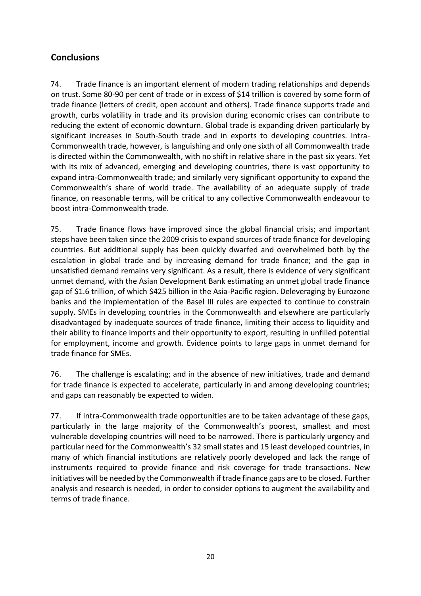# <span id="page-24-0"></span>**Conclusions**

74. Trade finance is an important element of modern trading relationships and depends on trust. Some 80-90 per cent of trade or in excess of \$14 trillion is covered by some form of trade finance (letters of credit, open account and others). Trade finance supports trade and growth, curbs volatility in trade and its provision during economic crises can contribute to reducing the extent of economic downturn. Global trade is expanding driven particularly by significant increases in South-South trade and in exports to developing countries. Intra-Commonwealth trade, however, is languishing and only one sixth of all Commonwealth trade is directed within the Commonwealth, with no shift in relative share in the past six years. Yet with its mix of advanced, emerging and developing countries, there is vast opportunity to expand intra-Commonwealth trade; and similarly very significant opportunity to expand the Commonwealth's share of world trade. The availability of an adequate supply of trade finance, on reasonable terms, will be critical to any collective Commonwealth endeavour to boost intra-Commonwealth trade.

75. Trade finance flows have improved since the global financial crisis; and important steps have been taken since the 2009 crisis to expand sources of trade finance for developing countries. But additional supply has been quickly dwarfed and overwhelmed both by the escalation in global trade and by increasing demand for trade finance; and the gap in unsatisfied demand remains very significant. As a result, there is evidence of very significant unmet demand, with the Asian Development Bank estimating an unmet global trade finance gap of \$1.6 trillion, of which \$425 billion in the Asia-Pacific region. Deleveraging by Eurozone banks and the implementation of the Basel III rules are expected to continue to constrain supply. SMEs in developing countries in the Commonwealth and elsewhere are particularly disadvantaged by inadequate sources of trade finance, limiting their access to liquidity and their ability to finance imports and their opportunity to export, resulting in unfilled potential for employment, income and growth. Evidence points to large gaps in unmet demand for trade finance for SMEs.

76. The challenge is escalating; and in the absence of new initiatives, trade and demand for trade finance is expected to accelerate, particularly in and among developing countries; and gaps can reasonably be expected to widen.

77. If intra-Commonwealth trade opportunities are to be taken advantage of these gaps, particularly in the large majority of the Commonwealth's poorest, smallest and most vulnerable developing countries will need to be narrowed. There is particularly urgency and particular need for the Commonwealth's 32 small states and 15 least developed countries, in many of which financial institutions are relatively poorly developed and lack the range of instruments required to provide finance and risk coverage for trade transactions. New initiatives will be needed by the Commonwealth if trade finance gaps are to be closed. Further analysis and research is needed, in order to consider options to augment the availability and terms of trade finance.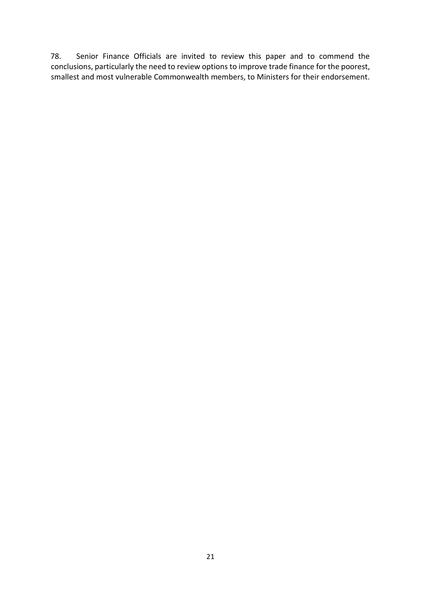78. Senior Finance Officials are invited to review this paper and to commend the conclusions, particularly the need to review options to improve trade finance for the poorest, smallest and most vulnerable Commonwealth members, to Ministers for their endorsement.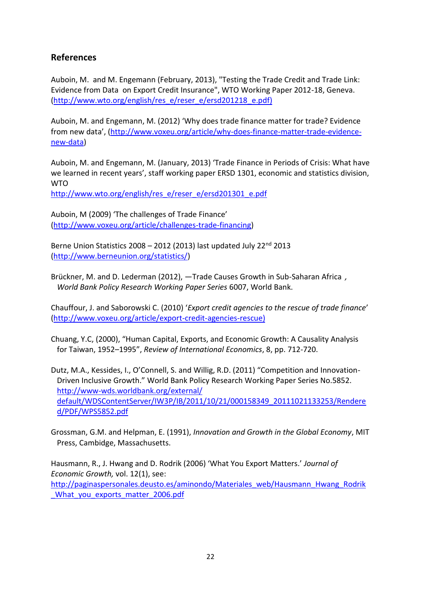## <span id="page-26-0"></span>**References**

Auboin, M. and M. Engemann (February, 2013), "Testing the Trade Credit and Trade Link: Evidence from Data on Export Credit Insurance", WTO Working Paper 2012-18, Geneva. [\(http://www.wto.org/english/res\\_e/reser\\_e/ersd201218\\_e.pdf\)](http://www.wto.org/english/res_e/reser_e/ersd201218_e.pdf)

Auboin, M. and Engemann, M. (2012) 'Why does trade finance matter for trade? Evidence from new data', ([http://www.voxeu.org/article/why-does-finance-matter-trade-evidence](http://www.voxeu.org/article/why-does-finance-matter-trade-evidence-new-data)[new-data\)](http://www.voxeu.org/article/why-does-finance-matter-trade-evidence-new-data)

Auboin, M. and Engemann, M. (January, 2013) 'Trade Finance in Periods of Crisis: What have we learned in recent years', staff working paper ERSD 1301, economic and statistics division, WTO

[http://www.wto.org/english/res\\_e/reser\\_e/ersd201301\\_e.pdf](http://www.wto.org/english/res_e/reser_e/ersd201301_e.pdf)

Auboin, M (2009) 'The challenges of Trade Finance' [\(http://www.voxeu.org/article/challenges-trade-financing\)](http://www.voxeu.org/article/challenges-trade-financing)

Berne Union Statistics  $2008 - 2012$  (2013) last updated July  $22<sup>nd</sup>$  2013 [\(http://www.berneunion.org/statistics/\)](http://www.berneunion.org/statistics/)

Brückner, M. and D. Lederman (2012), —Trade Causes Growth in Sub-Saharan Africa, *World Bank Policy Research Working Paper Series* 6007, World Bank.

Chauffour, J. and Saborowski C. (2010) '*Export credit agencies to the rescue of trade finance*' [\(http://www.voxeu.org/article/export-credit-agencies-rescue\)](http://www.voxeu.org/article/export-credit-agencies-rescue)

Chuang, Y.C, (2000), "Human Capital, Exports, and Economic Growth: A Causality Analysis for Taiwan, 1952–1995", *Review of International Economics*, 8, pp. 712-720.

Dutz, M.A., Kessides, I., O'Connell, S. and Willig, R.D. (2011) "Competition and Innovation-Driven Inclusive Growth." World Bank Policy Research Working Paper Series No.5852. [http://www-wds.worldbank.org/external/](http://www-wds.worldbank.org/external/%20default/WDSContentServer/IW3P/IB/2011/10/21/000158349_20111021133253/Rendered/PDF/WPS5852.pdf)  [default/WDSContentServer/IW3P/IB/2011/10/21/000158349\\_20111021133253/Rendere](http://www-wds.worldbank.org/external/%20default/WDSContentServer/IW3P/IB/2011/10/21/000158349_20111021133253/Rendered/PDF/WPS5852.pdf) [d/PDF/WPS5852.pdf](http://www-wds.worldbank.org/external/%20default/WDSContentServer/IW3P/IB/2011/10/21/000158349_20111021133253/Rendered/PDF/WPS5852.pdf)

Grossman, G.M. and Helpman, E. (1991), *Innovation and Growth in the Global Economy*, MIT Press, Cambidge, Massachusetts.

Hausmann, R., J. Hwang and D. Rodrik (2006) 'What You Export Matters.' *Journal of Economic Growth,* vol. 12(1), see: [http://paginaspersonales.deusto.es/aminondo/Materiales\\_web/Hausmann\\_Hwang\\_Rodrik](http://paginaspersonales.deusto.es/aminondo/Materiales_web/Hausmann_Hwang_Rodrik_What_you_exports_matter_2006.pdf) [\\_What\\_you\\_exports\\_matter\\_2006.pdf](http://paginaspersonales.deusto.es/aminondo/Materiales_web/Hausmann_Hwang_Rodrik_What_you_exports_matter_2006.pdf)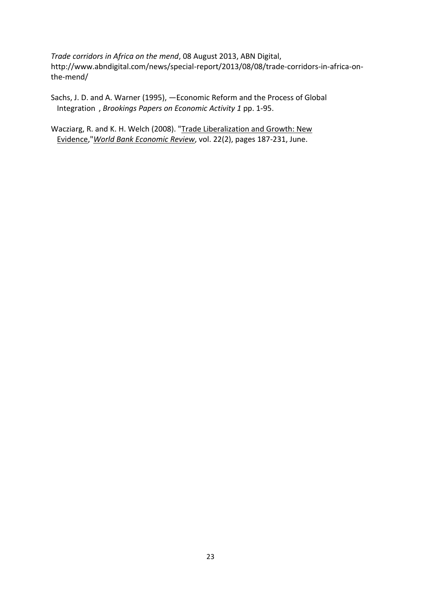*Trade corridors in Africa on the mend*, 08 August 2013, ABN Digital, http://www.abndigital.com/news/special-report/2013/08/08/trade-corridors-in-africa-onthe-mend/

Sachs, J. D. and A. Warner (1995), ―Economic Reform and the Process of Global Integration‖, *Brookings Papers on Economic Activity 1* pp. 1-95.

Wacziarg, R. and K. H. Welch (2008). ["Trade Liberalization and Growth: New](http://ideas.repec.org/a/oup/wbecrv/v22y2008i2p187-231.html)  [Evidence,](http://ideas.repec.org/a/oup/wbecrv/v22y2008i2p187-231.html)"*[World Bank Economic Review](http://ideas.repec.org/s/oup/wbecrv.html)*, vol. 22(2), pages 187-231, June.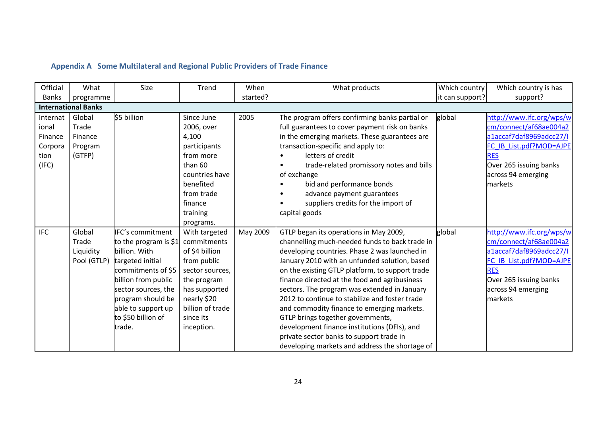## **Appendix A Some Multilateral and Regional Public Providers of Trade Finance**

<span id="page-28-0"></span>

| Official     | What                       | Size                         | Trend            | When     | What products                                         | Which country   | Which country is has     |
|--------------|----------------------------|------------------------------|------------------|----------|-------------------------------------------------------|-----------------|--------------------------|
| <b>Banks</b> | programme                  |                              |                  | started? |                                                       | it can support? | support?                 |
|              | <b>International Banks</b> |                              |                  |          |                                                       |                 |                          |
| Internat     | Global                     | \$5 billion                  | Since June       | 2005     | The program offers confirming banks partial or        | global          | http://www.ifc.org/wps/w |
| ional        | Trade                      |                              | 2006, over       |          | full guarantees to cover payment risk on banks        |                 | cm/connect/af68ae004a2   |
| Finance      | Finance                    |                              | 4,100            |          | in the emerging markets. These guarantees are         |                 | a1accaf7daf8969adcc27/I  |
| Corpora      | Program                    |                              | participants     |          | transaction-specific and apply to:                    |                 | FC IB List.pdf?MOD=AJPE  |
| tion         | (GTFP)                     |                              | from more        |          | letters of credit                                     |                 | <b>RES</b>               |
| (IFC)        |                            |                              | than 60          |          | trade-related promissory notes and bills<br>$\bullet$ |                 | Over 265 issuing banks   |
|              |                            |                              | countries have   |          | of exchange                                           |                 | across 94 emerging       |
|              |                            |                              | benefited        |          | bid and performance bonds                             |                 | markets                  |
|              |                            |                              | from trade       |          | advance payment guarantees<br>$\bullet$               |                 |                          |
|              |                            |                              | finance          |          | suppliers credits for the import of                   |                 |                          |
|              |                            |                              | training         |          | capital goods                                         |                 |                          |
|              |                            |                              | programs.        |          |                                                       |                 |                          |
| <b>IFC</b>   | Global                     | <b>IFC's commitment</b>      | With targeted    | May 2009 | GTLP began its operations in May 2009,                | global          | http://www.ifc.org/wps/w |
|              | Trade                      | to the program is \$1        | commitments      |          | channelling much-needed funds to back trade in        |                 | cm/connect/af68ae004a2   |
|              | Liquidity                  | billion. With                | of \$4 billion   |          | developing countries. Phase 2 was launched in         |                 | a1accaf7daf8969adcc27/I  |
|              |                            | Pool (GTLP) targeted initial | from public      |          | January 2010 with an unfunded solution, based         |                 | FC IB List.pdf?MOD=AJPE  |
|              |                            | commitments of \$5           | sector sources,  |          | on the existing GTLP platform, to support trade       |                 | <b>RES</b>               |
|              |                            | billion from public          | the program      |          | finance directed at the food and agribusiness         |                 | Over 265 issuing banks   |
|              |                            | sector sources, the          | has supported    |          | sectors. The program was extended in January          |                 | across 94 emerging       |
|              |                            | program should be            | nearly \$20      |          | 2012 to continue to stabilize and foster trade        |                 | markets                  |
|              |                            | able to support up           | billion of trade |          | and commodity finance to emerging markets.            |                 |                          |
|              |                            | to \$50 billion of           | since its        |          | GTLP brings together governments,                     |                 |                          |
|              |                            | trade.                       | inception.       |          | development finance institutions (DFIs), and          |                 |                          |
|              |                            |                              |                  |          | private sector banks to support trade in              |                 |                          |
|              |                            |                              |                  |          | developing markets and address the shortage of        |                 |                          |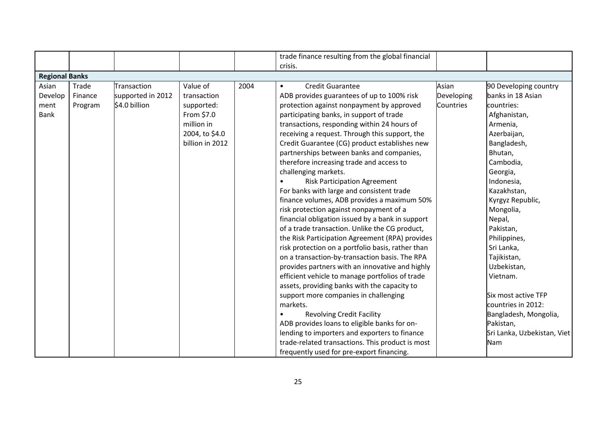|                       |         |                   |                 |      | trade finance resulting from the global financial |            |                             |
|-----------------------|---------|-------------------|-----------------|------|---------------------------------------------------|------------|-----------------------------|
|                       |         |                   |                 |      | crisis.                                           |            |                             |
| <b>Regional Banks</b> |         |                   |                 |      |                                                   |            |                             |
| Asian                 | Trade   | Transaction       | Value of        | 2004 | <b>Credit Guarantee</b><br>$\bullet$              | Asian      | 90 Developing country       |
| Develop               | Finance | supported in 2012 | transaction     |      | ADB provides guarantees of up to 100% risk        | Developing | banks in 18 Asian           |
| ment                  | Program | \$4.0 billion     | supported:      |      | protection against nonpayment by approved         | Countries  | countries:                  |
| <b>Bank</b>           |         |                   | From \$7.0      |      | participating banks, in support of trade          |            | Afghanistan,                |
|                       |         |                   | million in      |      | transactions, responding within 24 hours of       |            | Armenia,                    |
|                       |         |                   | 2004, to \$4.0  |      | receiving a request. Through this support, the    |            | Azerbaijan,                 |
|                       |         |                   | billion in 2012 |      | Credit Guarantee (CG) product establishes new     |            | Bangladesh,                 |
|                       |         |                   |                 |      | partnerships between banks and companies,         |            | Bhutan,                     |
|                       |         |                   |                 |      | therefore increasing trade and access to          |            | Cambodia,                   |
|                       |         |                   |                 |      | challenging markets.                              |            | Georgia,                    |
|                       |         |                   |                 |      | <b>Risk Participation Agreement</b>               |            | Indonesia,                  |
|                       |         |                   |                 |      | For banks with large and consistent trade         |            | Kazakhstan,                 |
|                       |         |                   |                 |      | finance volumes, ADB provides a maximum 50%       |            | Kyrgyz Republic,            |
|                       |         |                   |                 |      | risk protection against nonpayment of a           |            | Mongolia,                   |
|                       |         |                   |                 |      | financial obligation issued by a bank in support  |            | Nepal,                      |
|                       |         |                   |                 |      | of a trade transaction. Unlike the CG product,    |            | Pakistan,                   |
|                       |         |                   |                 |      | the Risk Participation Agreement (RPA) provides   |            | Philippines,                |
|                       |         |                   |                 |      | risk protection on a portfolio basis, rather than |            | Sri Lanka,                  |
|                       |         |                   |                 |      | on a transaction-by-transaction basis. The RPA    |            | Tajikistan,                 |
|                       |         |                   |                 |      | provides partners with an innovative and highly   |            | Uzbekistan,                 |
|                       |         |                   |                 |      | efficient vehicle to manage portfolios of trade   |            | Vietnam.                    |
|                       |         |                   |                 |      | assets, providing banks with the capacity to      |            |                             |
|                       |         |                   |                 |      | support more companies in challenging             |            | Six most active TFP         |
|                       |         |                   |                 |      | markets.                                          |            | countries in 2012:          |
|                       |         |                   |                 |      | <b>Revolving Credit Facility</b>                  |            | Bangladesh, Mongolia,       |
|                       |         |                   |                 |      | ADB provides loans to eligible banks for on-      |            | Pakistan,                   |
|                       |         |                   |                 |      | lending to importers and exporters to finance     |            | Sri Lanka, Uzbekistan, Viet |
|                       |         |                   |                 |      | trade-related transactions. This product is most  |            | Nam                         |
|                       |         |                   |                 |      | frequently used for pre-export financing.         |            |                             |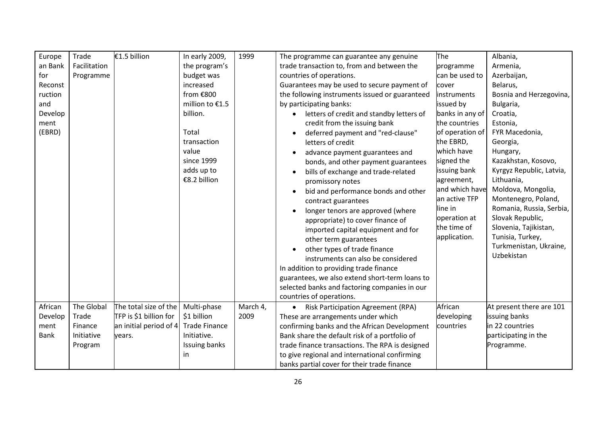| Europe<br>an Bank<br>for<br>Reconst<br>ruction<br>and<br>Develop<br>ment<br>(EBRD) | Trade<br>Facilitation<br>Programme | €1.5 billion                                     | In early 2009,<br>the program's<br>budget was<br>increased<br>from €800<br>million to €1.5<br>billion.<br>Total<br>transaction<br>value<br>since 1999<br>adds up to<br>€8.2 billion | 1999     | The programme can guarantee any genuine<br>trade transaction to, from and between the<br>countries of operations.<br>Guarantees may be used to secure payment of<br>the following instruments issued or guaranteed<br>by participating banks:<br>letters of credit and standby letters of<br>credit from the issuing bank<br>deferred payment and "red-clause"<br>letters of credit<br>advance payment guarantees and<br>bonds, and other payment guarantees<br>bills of exchange and trade-related<br>promissory notes<br>bid and performance bonds and other<br>contract guarantees<br>longer tenors are approved (where<br>appropriate) to cover finance of<br>imported capital equipment and for<br>other term guarantees<br>other types of trade finance<br>instruments can also be considered | The<br>programme<br>can be used to<br>cover<br>instruments<br>issued by<br>banks in any of<br>the countries<br>of operation of<br>the EBRD,<br>which have<br>signed the<br>issuing bank<br>agreement,<br>and which have<br>an active TFP<br>line in<br>operation at<br>the time of<br>application. | Albania,<br>Armenia,<br>Azerbaijan,<br>Belarus,<br>Bosnia and Herzegovina,<br>Bulgaria,<br>Croatia,<br>Estonia,<br>FYR Macedonia,<br>Georgia,<br>Hungary,<br>Kazakhstan, Kosovo,<br>Kyrgyz Republic, Latvia,<br>Lithuania,<br>Moldova, Mongolia,<br>Montenegro, Poland,<br>Romania, Russia, Serbia,<br>Slovak Republic,<br>Slovenia, Tajikistan,<br>Tunisia, Turkey,<br>Turkmenistan, Ukraine,<br>Uzbekistan |
|------------------------------------------------------------------------------------|------------------------------------|--------------------------------------------------|-------------------------------------------------------------------------------------------------------------------------------------------------------------------------------------|----------|-----------------------------------------------------------------------------------------------------------------------------------------------------------------------------------------------------------------------------------------------------------------------------------------------------------------------------------------------------------------------------------------------------------------------------------------------------------------------------------------------------------------------------------------------------------------------------------------------------------------------------------------------------------------------------------------------------------------------------------------------------------------------------------------------------|----------------------------------------------------------------------------------------------------------------------------------------------------------------------------------------------------------------------------------------------------------------------------------------------------|--------------------------------------------------------------------------------------------------------------------------------------------------------------------------------------------------------------------------------------------------------------------------------------------------------------------------------------------------------------------------------------------------------------|
|                                                                                    |                                    |                                                  |                                                                                                                                                                                     |          | In addition to providing trade finance<br>guarantees, we also extend short-term loans to<br>selected banks and factoring companies in our<br>countries of operations.                                                                                                                                                                                                                                                                                                                                                                                                                                                                                                                                                                                                                               |                                                                                                                                                                                                                                                                                                    |                                                                                                                                                                                                                                                                                                                                                                                                              |
| African                                                                            | The Global                         | The total size of the                            | Multi-phase                                                                                                                                                                         | March 4, | <b>Risk Participation Agreement (RPA)</b>                                                                                                                                                                                                                                                                                                                                                                                                                                                                                                                                                                                                                                                                                                                                                           | African                                                                                                                                                                                                                                                                                            | At present there are 101                                                                                                                                                                                                                                                                                                                                                                                     |
| Develop<br>ment                                                                    | Trade<br>Finance                   | TFP is \$1 billion for<br>an initial period of 4 | \$1 billion<br><b>Trade Finance</b>                                                                                                                                                 | 2009     | These are arrangements under which<br>confirming banks and the African Development                                                                                                                                                                                                                                                                                                                                                                                                                                                                                                                                                                                                                                                                                                                  | developing<br>countries                                                                                                                                                                                                                                                                            | issuing banks<br>in 22 countries                                                                                                                                                                                                                                                                                                                                                                             |
| <b>Bank</b>                                                                        | Initiative                         | years.                                           | Initiative.                                                                                                                                                                         |          | Bank share the default risk of a portfolio of                                                                                                                                                                                                                                                                                                                                                                                                                                                                                                                                                                                                                                                                                                                                                       |                                                                                                                                                                                                                                                                                                    | participating in the                                                                                                                                                                                                                                                                                                                                                                                         |
|                                                                                    | Program                            |                                                  | Issuing banks                                                                                                                                                                       |          | trade finance transactions. The RPA is designed                                                                                                                                                                                                                                                                                                                                                                                                                                                                                                                                                                                                                                                                                                                                                     |                                                                                                                                                                                                                                                                                                    | Programme.                                                                                                                                                                                                                                                                                                                                                                                                   |
|                                                                                    |                                    |                                                  | in.                                                                                                                                                                                 |          | to give regional and international confirming                                                                                                                                                                                                                                                                                                                                                                                                                                                                                                                                                                                                                                                                                                                                                       |                                                                                                                                                                                                                                                                                                    |                                                                                                                                                                                                                                                                                                                                                                                                              |
|                                                                                    |                                    |                                                  |                                                                                                                                                                                     |          | banks partial cover for their trade finance                                                                                                                                                                                                                                                                                                                                                                                                                                                                                                                                                                                                                                                                                                                                                         |                                                                                                                                                                                                                                                                                                    |                                                                                                                                                                                                                                                                                                                                                                                                              |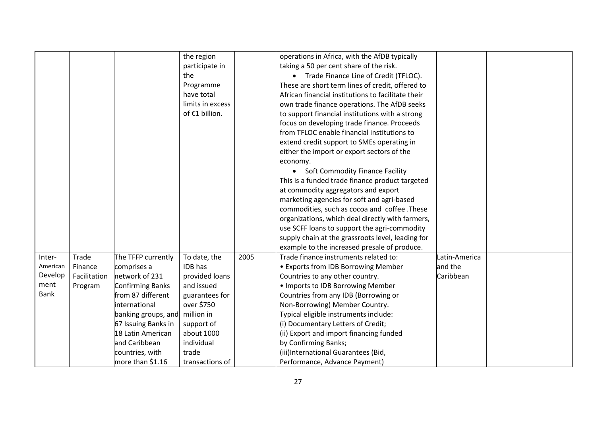|          |              |                         | the region       |      | operations in Africa, with the AfDB typically      |               |  |
|----------|--------------|-------------------------|------------------|------|----------------------------------------------------|---------------|--|
|          |              |                         | participate in   |      | taking a 50 per cent share of the risk.            |               |  |
|          |              |                         | the              |      | • Trade Finance Line of Credit (TFLOC).            |               |  |
|          |              |                         | Programme        |      | These are short term lines of credit, offered to   |               |  |
|          |              |                         | have total       |      | African financial institutions to facilitate their |               |  |
|          |              |                         | limits in excess |      | own trade finance operations. The AfDB seeks       |               |  |
|          |              |                         | of €1 billion.   |      | to support financial institutions with a strong    |               |  |
|          |              |                         |                  |      | focus on developing trade finance. Proceeds        |               |  |
|          |              |                         |                  |      | from TFLOC enable financial institutions to        |               |  |
|          |              |                         |                  |      | extend credit support to SMEs operating in         |               |  |
|          |              |                         |                  |      | either the import or export sectors of the         |               |  |
|          |              |                         |                  |      | economy.                                           |               |  |
|          |              |                         |                  |      | <b>Soft Commodity Finance Facility</b>             |               |  |
|          |              |                         |                  |      | This is a funded trade finance product targeted    |               |  |
|          |              |                         |                  |      | at commodity aggregators and export                |               |  |
|          |              |                         |                  |      | marketing agencies for soft and agri-based         |               |  |
|          |              |                         |                  |      | commodities, such as cocoa and coffee .These       |               |  |
|          |              |                         |                  |      | organizations, which deal directly with farmers,   |               |  |
|          |              |                         |                  |      | use SCFF loans to support the agri-commodity       |               |  |
|          |              |                         |                  |      | supply chain at the grassroots level, leading for  |               |  |
|          |              |                         |                  |      | example to the increased presale of produce.       |               |  |
| Inter-   | Trade        | The TFFP currently      | To date, the     | 2005 | Trade finance instruments related to:              | Latin-America |  |
| American | Finance      | comprises a             | IDB has          |      | • Exports from IDB Borrowing Member                | and the       |  |
| Develop  | Facilitation | network of 231          | provided loans   |      | Countries to any other country.                    | Caribbean     |  |
| ment     | Program      | <b>Confirming Banks</b> | and issued       |      | . Imports to IDB Borrowing Member                  |               |  |
| Bank     |              | from 87 different       | guarantees for   |      | Countries from any IDB (Borrowing or               |               |  |
|          |              | international           | over \$750       |      | Non-Borrowing) Member Country.                     |               |  |
|          |              | banking groups, and     | million in       |      | Typical eligible instruments include:              |               |  |
|          |              | 67 Issuing Banks in     | support of       |      | (i) Documentary Letters of Credit;                 |               |  |
|          |              | 18 Latin American       | about 1000       |      | (ii) Export and import financing funded            |               |  |
|          |              | and Caribbean           | individual       |      | by Confirming Banks;                               |               |  |
|          |              | countries, with         | trade            |      | (iii)International Guarantees (Bid,                |               |  |
|          |              | more than \$1.16        | transactions of  |      | Performance, Advance Payment)                      |               |  |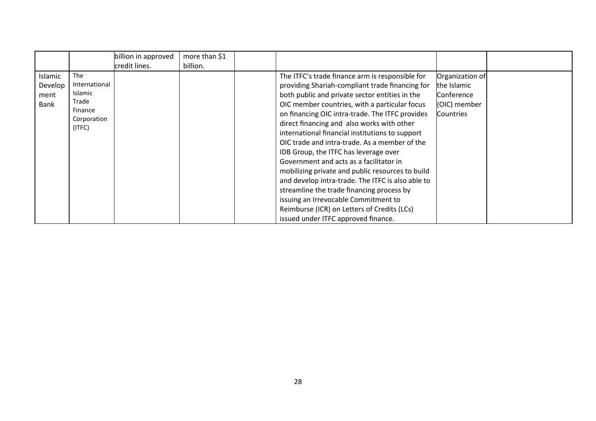|                                    |                                                                              | billion in approved<br>credit lines. | more than \$1<br>billion. |                                                                                                                                                                                                                                                                                                                                                                                                                                                                                                                                                                                                                                                                                                                                                                                    |                                                                                  |  |
|------------------------------------|------------------------------------------------------------------------------|--------------------------------------|---------------------------|------------------------------------------------------------------------------------------------------------------------------------------------------------------------------------------------------------------------------------------------------------------------------------------------------------------------------------------------------------------------------------------------------------------------------------------------------------------------------------------------------------------------------------------------------------------------------------------------------------------------------------------------------------------------------------------------------------------------------------------------------------------------------------|----------------------------------------------------------------------------------|--|
| Islamic<br>Develop<br>ment<br>Bank | The<br>International<br>Islamic<br>Trade<br>Finance<br>Corporation<br>(ITFC) |                                      |                           | The ITFC's trade finance arm is responsible for<br>providing Shariah-compliant trade financing for<br>both public and private sector entities in the<br>OIC member countries, with a particular focus<br>on financing OIC intra-trade. The ITFC provides<br>direct financing and also works with other<br>international financial institutions to support<br>OIC trade and intra-trade. As a member of the<br>IDB Group, the ITFC has leverage over<br>Government and acts as a facilitator in<br>mobilizing private and public resources to build<br>and develop intra-trade. The ITFC is also able to<br>streamline the trade financing process by<br>issuing an Irrevocable Commitment to<br>Reimburse (ICR) on Letters of Credits (LCs)<br>issued under ITFC approved finance. | Organization of<br>the Islamic<br>Conference<br>(OIC) member<br><b>Countries</b> |  |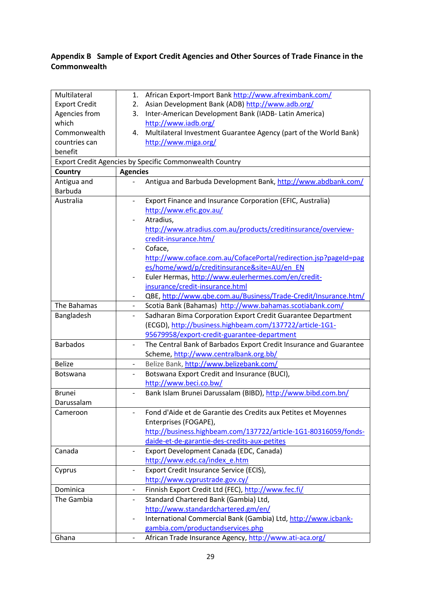# <span id="page-33-0"></span>**Appendix B Sample of Export Credit Agencies and Other Sources of Trade Finance in the Commonwealth**

| Multilateral         | 1.                           | African Export-Import Bank http://www.afreximbank.com/             |
|----------------------|------------------------------|--------------------------------------------------------------------|
| <b>Export Credit</b> | 2.                           | Asian Development Bank (ADB) http://www.adb.org/                   |
| Agencies from        | 3.                           | Inter-American Development Bank (IADB- Latin America)              |
| which                |                              | http://www.iadb.org/                                               |
| Commonwealth         | 4.                           | Multilateral Investment Guarantee Agency (part of the World Bank)  |
| countries can        |                              | http://www.miga.org/                                               |
| benefit              |                              |                                                                    |
|                      |                              | Export Credit Agencies by Specific Commonwealth Country            |
| Country              | <b>Agencies</b>              |                                                                    |
| Antigua and          |                              | Antigua and Barbuda Development Bank, http://www.abdbank.com/      |
| <b>Barbuda</b>       |                              |                                                                    |
| Australia            | $\overline{\phantom{0}}$     | Export Finance and Insurance Corporation (EFIC, Australia)         |
|                      |                              | http://www.efic.gov.au/                                            |
|                      | $\qquad \qquad -$            | Atradius,                                                          |
|                      |                              | http://www.atradius.com.au/products/creditinsurance/overview-      |
|                      |                              | credit-insurance.htm/                                              |
|                      |                              | Coface,                                                            |
|                      |                              | http://www.coface.com.au/CofacePortal/redirection.jsp?pageId=pag   |
|                      |                              | es/home/wwd/p/creditinsurance&site=AU/en EN                        |
|                      |                              | Euler Hermas, http://www.eulerhermes.com/en/credit-                |
|                      |                              | insurance/credit-insurance.html                                    |
|                      |                              | QBE, http://www.qbe.com.au/Business/Trade-Credit/Insurance.htm/    |
| The Bahamas          | $\overline{\phantom{0}}$     | Scotia Bank (Bahamas) http://www.bahamas.scotiabank.com/           |
| Bangladesh           |                              | Sadharan Bima Corporation Export Credit Guarantee Department       |
|                      |                              | (ECGD), http://business.highbeam.com/137722/article-1G1-           |
|                      |                              | 95679958/export-credit-guarantee-department                        |
| <b>Barbados</b>      | $\qquad \qquad \blacksquare$ | The Central Bank of Barbados Export Credit Insurance and Guarantee |
|                      |                              | Scheme, http://www.centralbank.org.bb/                             |
| <b>Belize</b>        | $\overline{\phantom{a}}$     | Belize Bank, http://www.belizebank.com/                            |
| <b>Botswana</b>      | $\overline{\phantom{a}}$     | Botswana Export Credit and Insurance (BUCI),                       |
|                      |                              | http://www.beci.co.bw/                                             |
| <b>Brunei</b>        |                              | Bank Islam Brunei Darussalam (BIBD), http://www.bibd.com.bn/       |
| Darussalam           |                              |                                                                    |
| Cameroon             | $\overline{\phantom{0}}$     | Fond d'Aide et de Garantie des Credits aux Petites et Moyennes     |
|                      |                              | Enterprises (FOGAPE),                                              |
|                      |                              | http://business.highbeam.com/137722/article-1G1-80316059/fonds-    |
|                      |                              | daide-et-de-garantie-des-credits-aux-petites                       |
| Canada               | $\overline{\phantom{a}}$     | Export Development Canada (EDC, Canada)                            |
|                      |                              | http://www.edc.ca/index_e.htm                                      |
| Cyprus               | $\qquad \qquad -$            | Export Credit Insurance Service (ECIS),                            |
|                      |                              | http://www.cyprustrade.gov.cy/                                     |
| Dominica             | $\overline{\phantom{a}}$     | Finnish Export Credit Ltd (FEC), http://www.fec.fi/                |
| The Gambia           | $\overline{\phantom{a}}$     | Standard Chartered Bank (Gambia) Ltd,                              |
|                      |                              | http://www.standardchartered.gm/en/                                |
|                      | $\overline{\phantom{0}}$     | International Commercial Bank (Gambia) Ltd, http://www.icbank-     |
|                      |                              | gambia.com/productandservices.php                                  |
| Ghana                | $\qquad \qquad \blacksquare$ | African Trade Insurance Agency, http://www.ati-aca.org/            |
|                      |                              |                                                                    |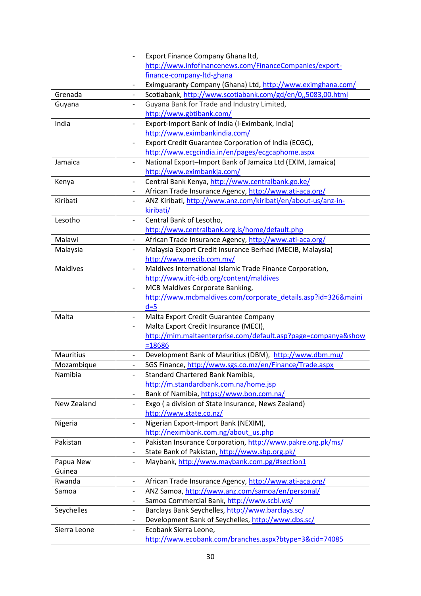|                  | Export Finance Company Ghana Itd,                                                       |
|------------------|-----------------------------------------------------------------------------------------|
|                  | http://www.infofinancenews.com/FinanceCompanies/export-                                 |
|                  | finance-company-Itd-ghana                                                               |
|                  | Eximguaranty Company (Ghana) Ltd, http://www.eximghana.com/                             |
| Grenada          | Scotiabank, http://www.scotiabank.com/gd/en/0,,5083,00.html<br>$\overline{\phantom{a}}$ |
| Guyana           | Guyana Bank for Trade and Industry Limited,<br>$\overline{a}$                           |
|                  | http://www.gbtibank.com/                                                                |
| India            | Export-Import Bank of India (I-Eximbank, India)<br>$\overline{\phantom{0}}$             |
|                  | http://www.eximbankindia.com/                                                           |
|                  | Export Credit Guarantee Corporation of India (ECGC),                                    |
|                  | http://www.ecgcindia.in/en/pages/ecgcaphome.aspx                                        |
| Jamaica          | National Export-Import Bank of Jamaica Ltd (EXIM, Jamaica)<br>$\overline{\phantom{a}}$  |
|                  | http://www.eximbankja.com/                                                              |
| Kenya            | Central Bank Kenya, http://www.centralbank.go.ke/                                       |
|                  | African Trade Insurance Agency, http://www.ati-aca.org/<br>$\overline{\phantom{a}}$     |
| Kiribati         | ANZ Kiribati, http://www.anz.com/kiribati/en/about-us/anz-in-<br>$\qquad \qquad -$      |
|                  | kiribati/                                                                               |
| Lesotho          | Central Bank of Lesotho,<br>$\overline{\phantom{0}}$                                    |
|                  | http://www.centralbank.org.ls/home/default.php                                          |
| Malawi           | African Trade Insurance Agency, http://www.ati-aca.org/<br>$\overline{\phantom{0}}$     |
| Malaysia         | Malaysia Export Credit Insurance Berhad (MECIB, Malaysia)                               |
|                  | http://www.mecib.com.my/                                                                |
| <b>Maldives</b>  | Maldives International Islamic Trade Finance Corporation,<br>$\overline{\phantom{0}}$   |
|                  | http://www.itfc-idb.org/content/maldives                                                |
|                  | MCB Maldives Corporate Banking,                                                         |
|                  | http://www.mcbmaldives.com/corporate_details.asp?id=326&maini                           |
|                  | $d=5$                                                                                   |
| Malta            | Malta Export Credit Guarantee Company<br>$\overline{\phantom{a}}$                       |
|                  | Malta Export Credit Insurance (MECI),                                                   |
|                  | http://mim.maltaenterprise.com/default.asp?page=companya&show                           |
|                  | $= 18686$                                                                               |
| <b>Mauritius</b> | Development Bank of Mauritius (DBM), http://www.dbm.mu/                                 |
| Mozambique       | SGS Finance, http://www.sgs.co.mz/en/Finance/Trade.aspx                                 |
| Namibia          | Standard Chartered Bank Namibia,                                                        |
|                  | http://m.standardbank.com.na/home.jsp                                                   |
|                  | Bank of Namibia, https://www.bon.com.na/                                                |
| New Zealand      | Exgo (a division of State Insurance, News Zealand)<br>$\overline{\phantom{0}}$          |
|                  | http://www.state.co.nz/                                                                 |
| Nigeria          | Nigerian Export-Import Bank (NEXIM),<br>$\overline{\phantom{0}}$                        |
|                  | http://neximbank.com.ng/about_us.php                                                    |
| Pakistan         | Pakistan Insurance Corporation, http://www.pakre.org.pk/ms/<br>$\overline{a}$           |
|                  | State Bank of Pakistan, http://www.sbp.org.pk/                                          |
| Papua New        | Maybank, http://www.maybank.com.pg/#section1                                            |
| Guinea           |                                                                                         |
| Rwanda           | African Trade Insurance Agency, http://www.ati-aca.org/<br>$\overline{\phantom{a}}$     |
| Samoa            | ANZ Samoa, http://www.anz.com/samoa/en/personal/<br>$\overline{\phantom{0}}$            |
|                  | Samoa Commercial Bank, http://www.scbl.ws/<br>-                                         |
| Seychelles       | Barclays Bank Seychelles, http://www.barclays.sc/<br>$\overline{\phantom{0}}$           |
|                  | Development Bank of Seychelles, http://www.dbs.sc/<br>$\qquad \qquad -$                 |
| Sierra Leone     | Ecobank Sierra Leone,<br>$\overline{\phantom{0}}$                                       |
|                  | http://www.ecobank.com/branches.aspx?btype=3&cid=74085                                  |